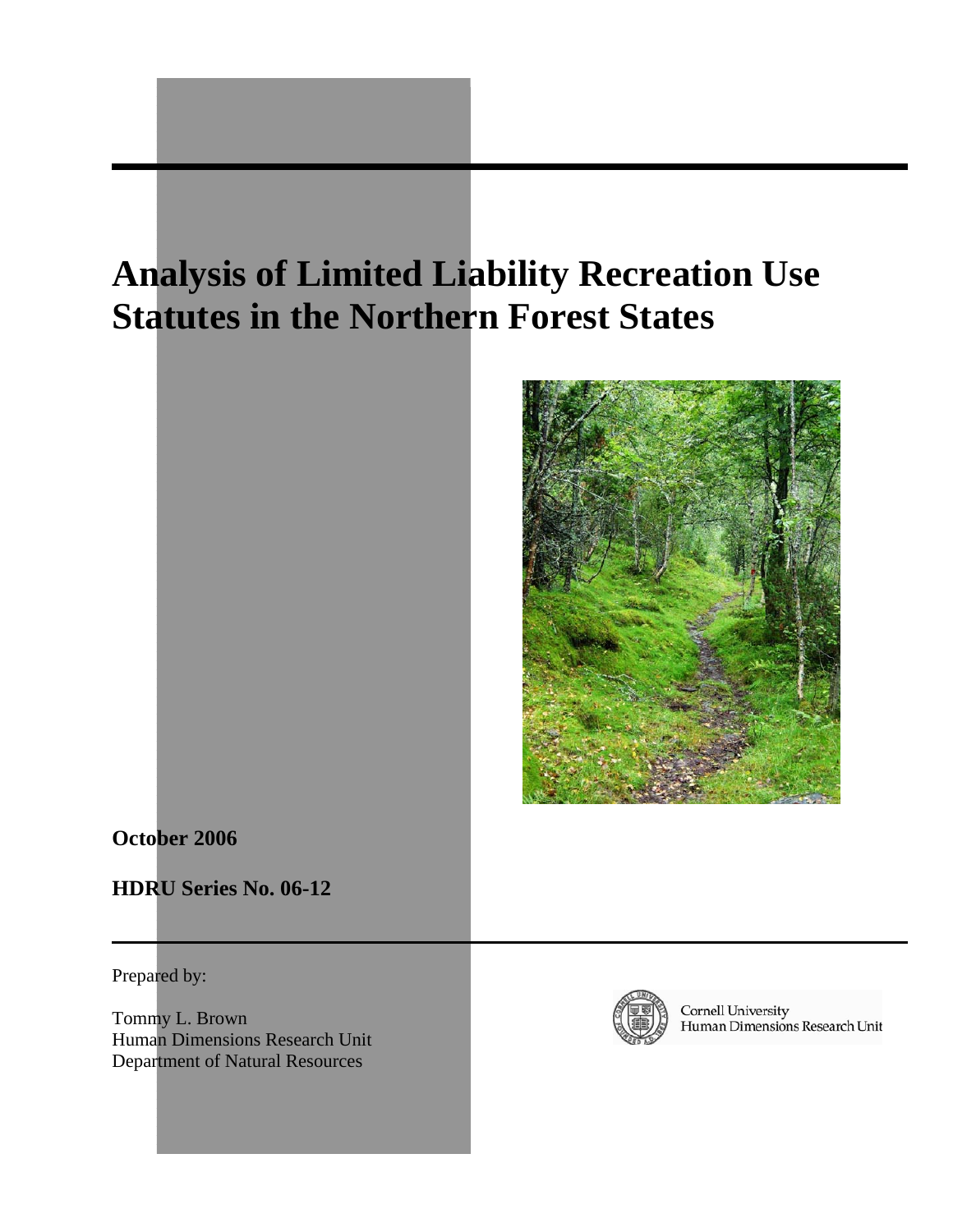# **Analysis of Limited Liability Recreation Use Statutes in the Northern Forest States**



**October 2006** 

**HDRU Series No. 06-12** 

Prepared by:

Tommy L. Brown Human Dimensions Research Unit Department of Natural Resources



Cornell University<br>Human Dimensions Research Unit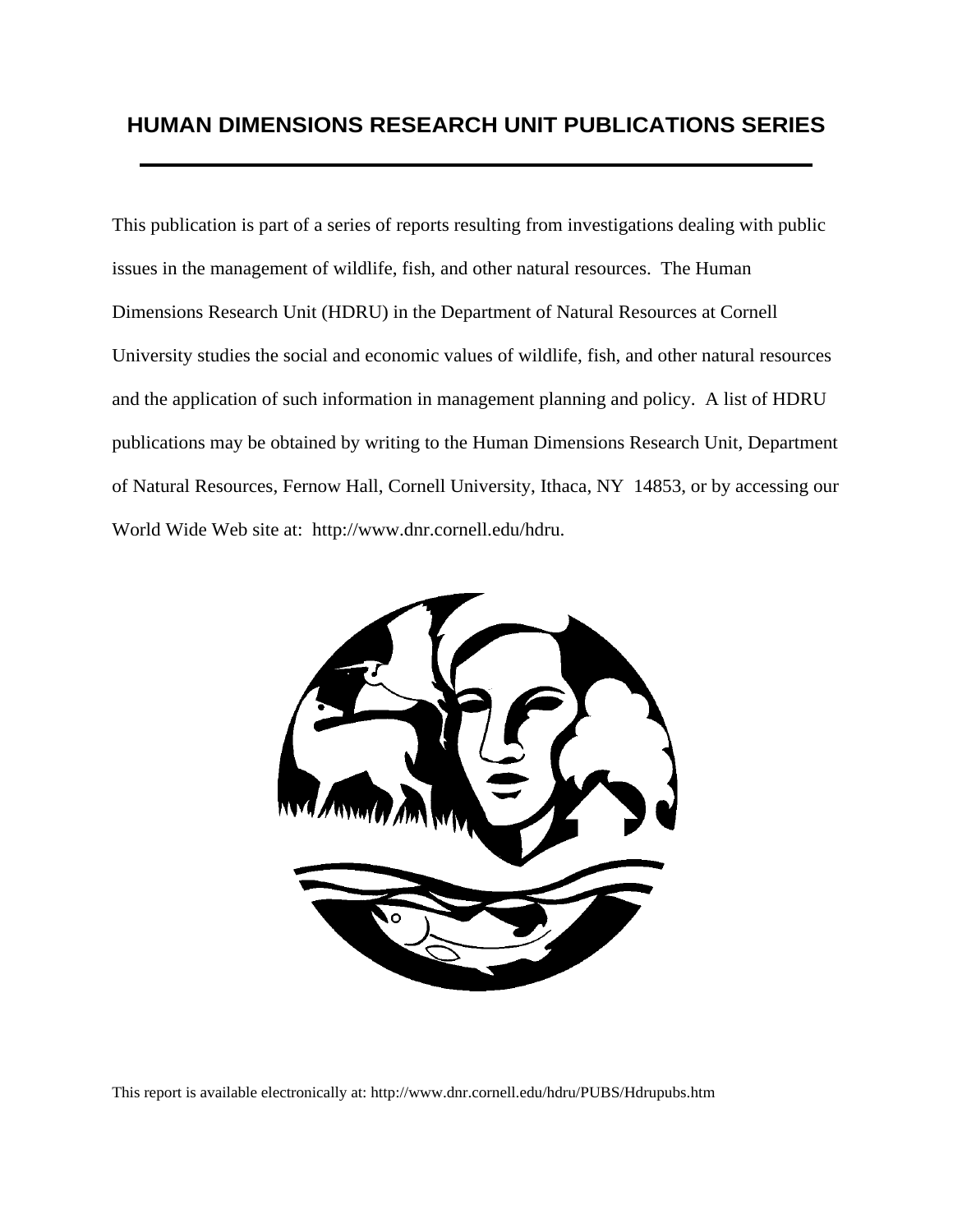# **HUMAN DIMENSIONS RESEARCH UNIT PUBLICATIONS SERIES**

This publication is part of a series of reports resulting from investigations dealing with public issues in the management of wildlife, fish, and other natural resources. The Human Dimensions Research Unit (HDRU) in the Department of Natural Resources at Cornell University studies the social and economic values of wildlife, fish, and other natural resources and the application of such information in management planning and policy. A list of HDRU publications may be obtained by writing to the Human Dimensions Research Unit, Department of Natural Resources, Fernow Hall, Cornell University, Ithaca, NY 14853, or by accessing our World Wide Web site at: http://www.dnr.cornell.edu/hdru.



This report is available electronically at: http://www.dnr.cornell.edu/hdru/PUBS/Hdrupubs.htm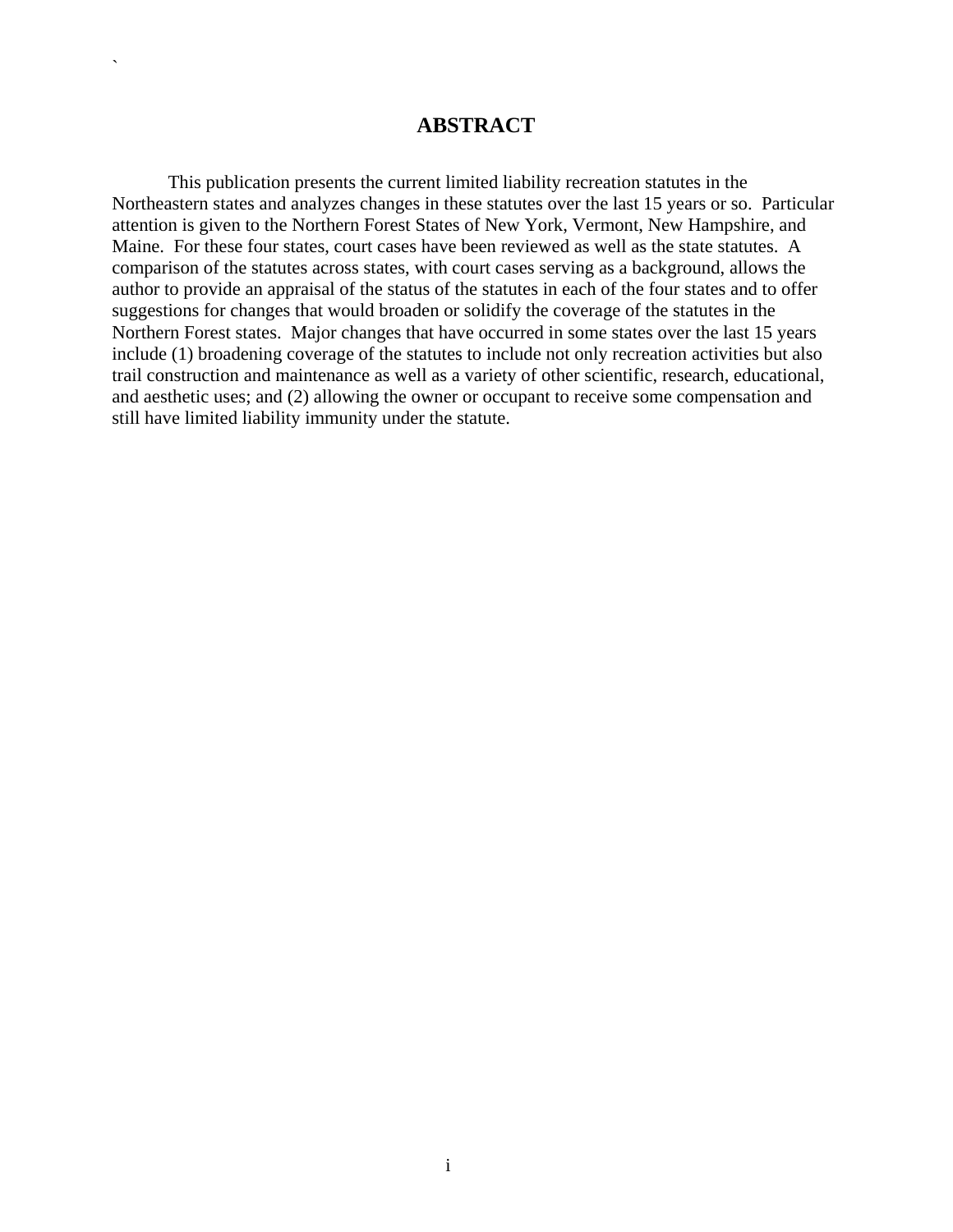### **ABSTRACT**

`

 This publication presents the current limited liability recreation statutes in the Northeastern states and analyzes changes in these statutes over the last 15 years or so. Particular attention is given to the Northern Forest States of New York, Vermont, New Hampshire, and Maine. For these four states, court cases have been reviewed as well as the state statutes. A comparison of the statutes across states, with court cases serving as a background, allows the author to provide an appraisal of the status of the statutes in each of the four states and to offer suggestions for changes that would broaden or solidify the coverage of the statutes in the Northern Forest states. Major changes that have occurred in some states over the last 15 years include (1) broadening coverage of the statutes to include not only recreation activities but also trail construction and maintenance as well as a variety of other scientific, research, educational, and aesthetic uses; and (2) allowing the owner or occupant to receive some compensation and still have limited liability immunity under the statute.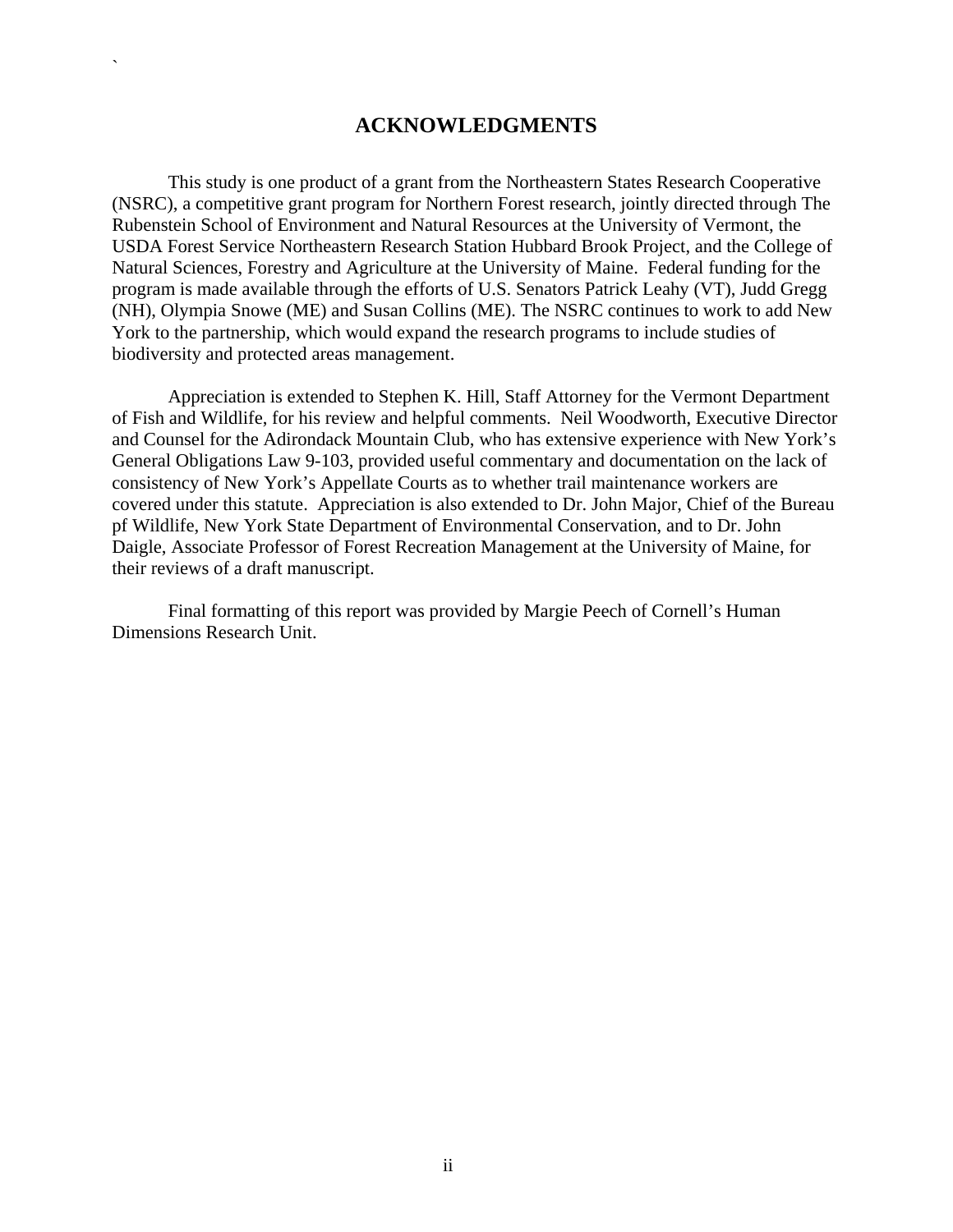### **ACKNOWLEDGMENTS**

`

 This study is one product of a grant from the Northeastern States Research Cooperative (NSRC), a competitive grant program for Northern Forest research, jointly directed through The Rubenstein School of Environment and Natural Resources at the University of Vermont, the USDA Forest Service Northeastern Research Station Hubbard Brook Project, and the College of Natural Sciences, Forestry and Agriculture at the University of Maine. Federal funding for the program is made available through the efforts of U.S. Senators Patrick Leahy (VT), Judd Gregg (NH), Olympia Snowe (ME) and Susan Collins (ME). The NSRC continues to work to add New York to the partnership, which would expand the research programs to include studies of biodiversity and protected areas management.

 Appreciation is extended to Stephen K. Hill, Staff Attorney for the Vermont Department of Fish and Wildlife, for his review and helpful comments. Neil Woodworth, Executive Director and Counsel for the Adirondack Mountain Club, who has extensive experience with New York's General Obligations Law 9-103, provided useful commentary and documentation on the lack of consistency of New York's Appellate Courts as to whether trail maintenance workers are covered under this statute. Appreciation is also extended to Dr. John Major, Chief of the Bureau pf Wildlife, New York State Department of Environmental Conservation, and to Dr. John Daigle, Associate Professor of Forest Recreation Management at the University of Maine, for their reviews of a draft manuscript.

 Final formatting of this report was provided by Margie Peech of Cornell's Human Dimensions Research Unit.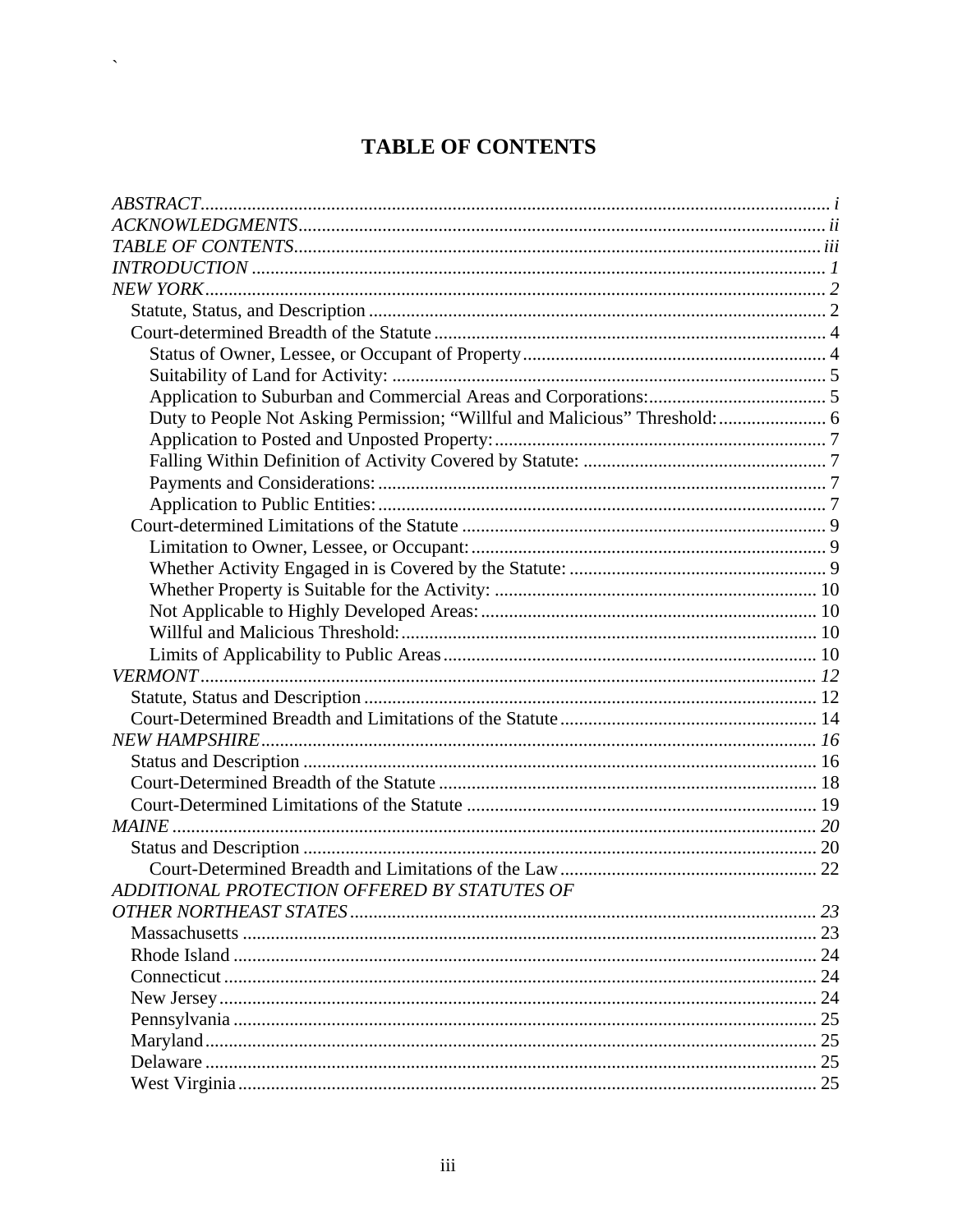# **TABLE OF CONTENTS**

 $\hat{\mathbf{v}}$ 

| ADDITIONAL PROTECTION OFFERED BY STATUTES OF |  |
|----------------------------------------------|--|
|                                              |  |
|                                              |  |
|                                              |  |
|                                              |  |
|                                              |  |
|                                              |  |
|                                              |  |
|                                              |  |
|                                              |  |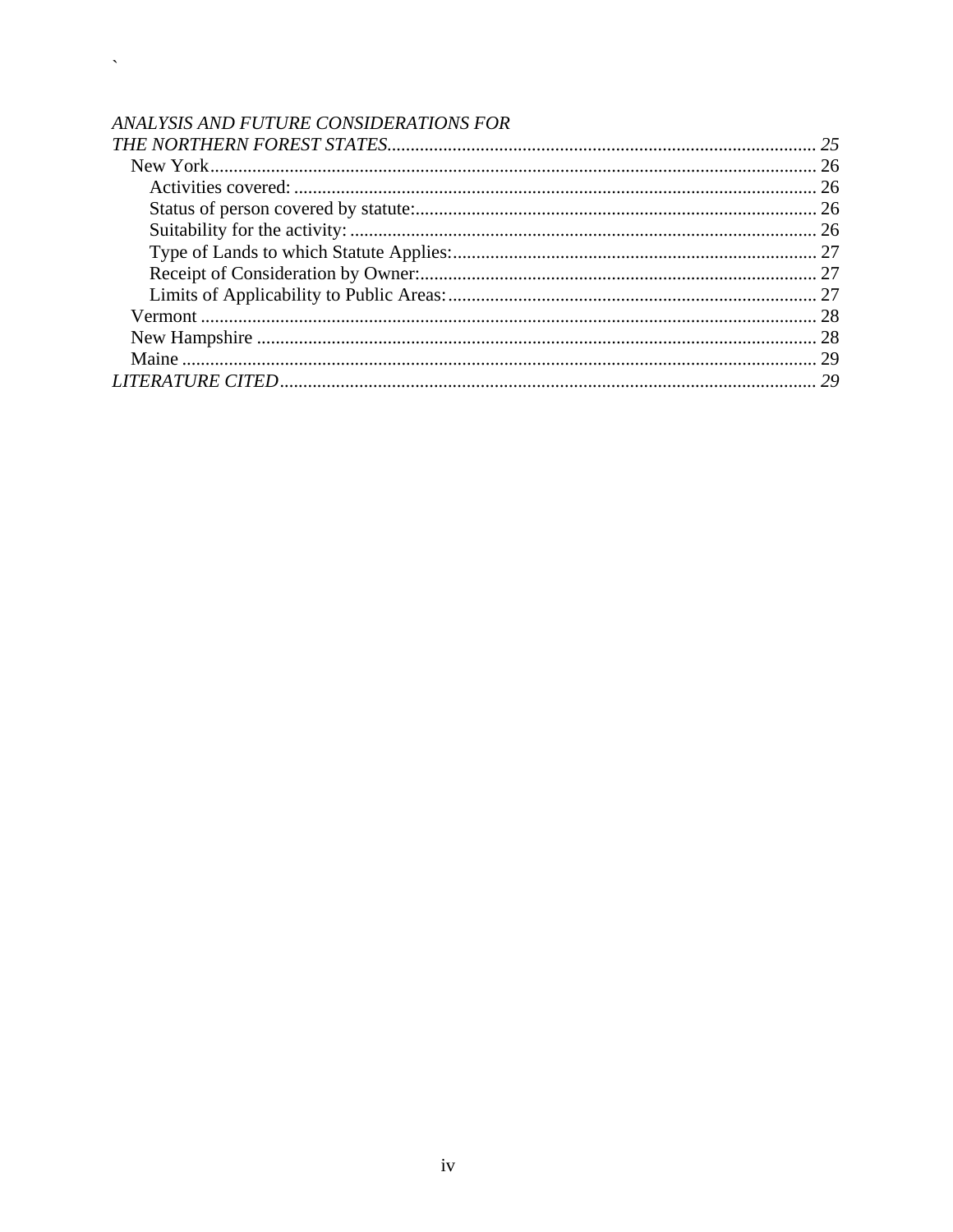# ANALYSIS AND FUTURE CONSIDERATIONS FOR

 $\zeta_{\rm{max}}$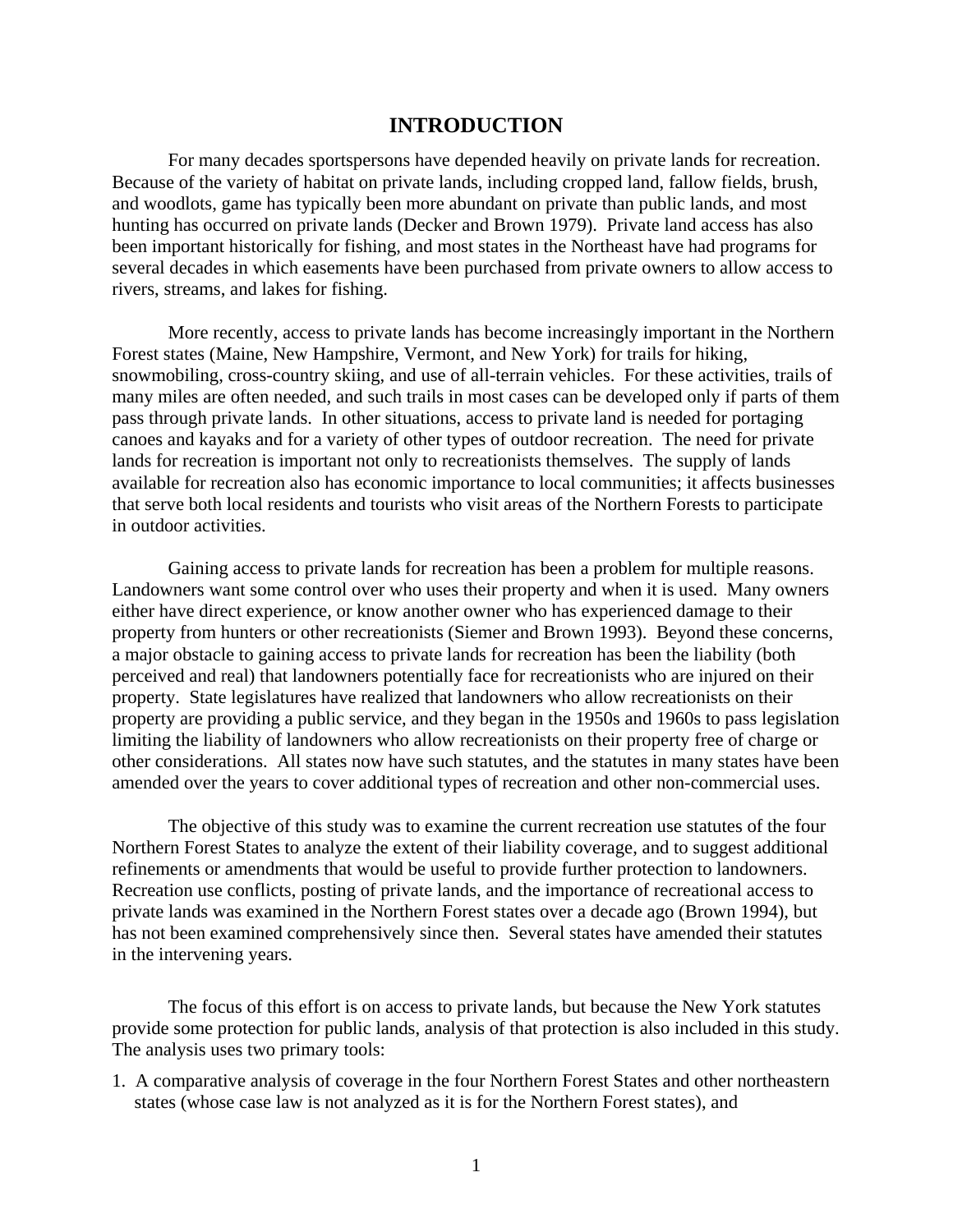### **INTRODUCTION**

For many decades sportspersons have depended heavily on private lands for recreation. Because of the variety of habitat on private lands, including cropped land, fallow fields, brush, and woodlots, game has typically been more abundant on private than public lands, and most hunting has occurred on private lands (Decker and Brown 1979). Private land access has also been important historically for fishing, and most states in the Northeast have had programs for several decades in which easements have been purchased from private owners to allow access to rivers, streams, and lakes for fishing.

 More recently, access to private lands has become increasingly important in the Northern Forest states (Maine, New Hampshire, Vermont, and New York) for trails for hiking, snowmobiling, cross-country skiing, and use of all-terrain vehicles. For these activities, trails of many miles are often needed, and such trails in most cases can be developed only if parts of them pass through private lands. In other situations, access to private land is needed for portaging canoes and kayaks and for a variety of other types of outdoor recreation. The need for private lands for recreation is important not only to recreationists themselves. The supply of lands available for recreation also has economic importance to local communities; it affects businesses that serve both local residents and tourists who visit areas of the Northern Forests to participate in outdoor activities.

 Gaining access to private lands for recreation has been a problem for multiple reasons. Landowners want some control over who uses their property and when it is used. Many owners either have direct experience, or know another owner who has experienced damage to their property from hunters or other recreationists (Siemer and Brown 1993). Beyond these concerns, a major obstacle to gaining access to private lands for recreation has been the liability (both perceived and real) that landowners potentially face for recreationists who are injured on their property. State legislatures have realized that landowners who allow recreationists on their property are providing a public service, and they began in the 1950s and 1960s to pass legislation limiting the liability of landowners who allow recreationists on their property free of charge or other considerations. All states now have such statutes, and the statutes in many states have been amended over the years to cover additional types of recreation and other non-commercial uses.

 The objective of this study was to examine the current recreation use statutes of the four Northern Forest States to analyze the extent of their liability coverage, and to suggest additional refinements or amendments that would be useful to provide further protection to landowners. Recreation use conflicts, posting of private lands, and the importance of recreational access to private lands was examined in the Northern Forest states over a decade ago (Brown 1994), but has not been examined comprehensively since then. Several states have amended their statutes in the intervening years.

 The focus of this effort is on access to private lands, but because the New York statutes provide some protection for public lands, analysis of that protection is also included in this study. The analysis uses two primary tools:

1. A comparative analysis of coverage in the four Northern Forest States and other northeastern states (whose case law is not analyzed as it is for the Northern Forest states), and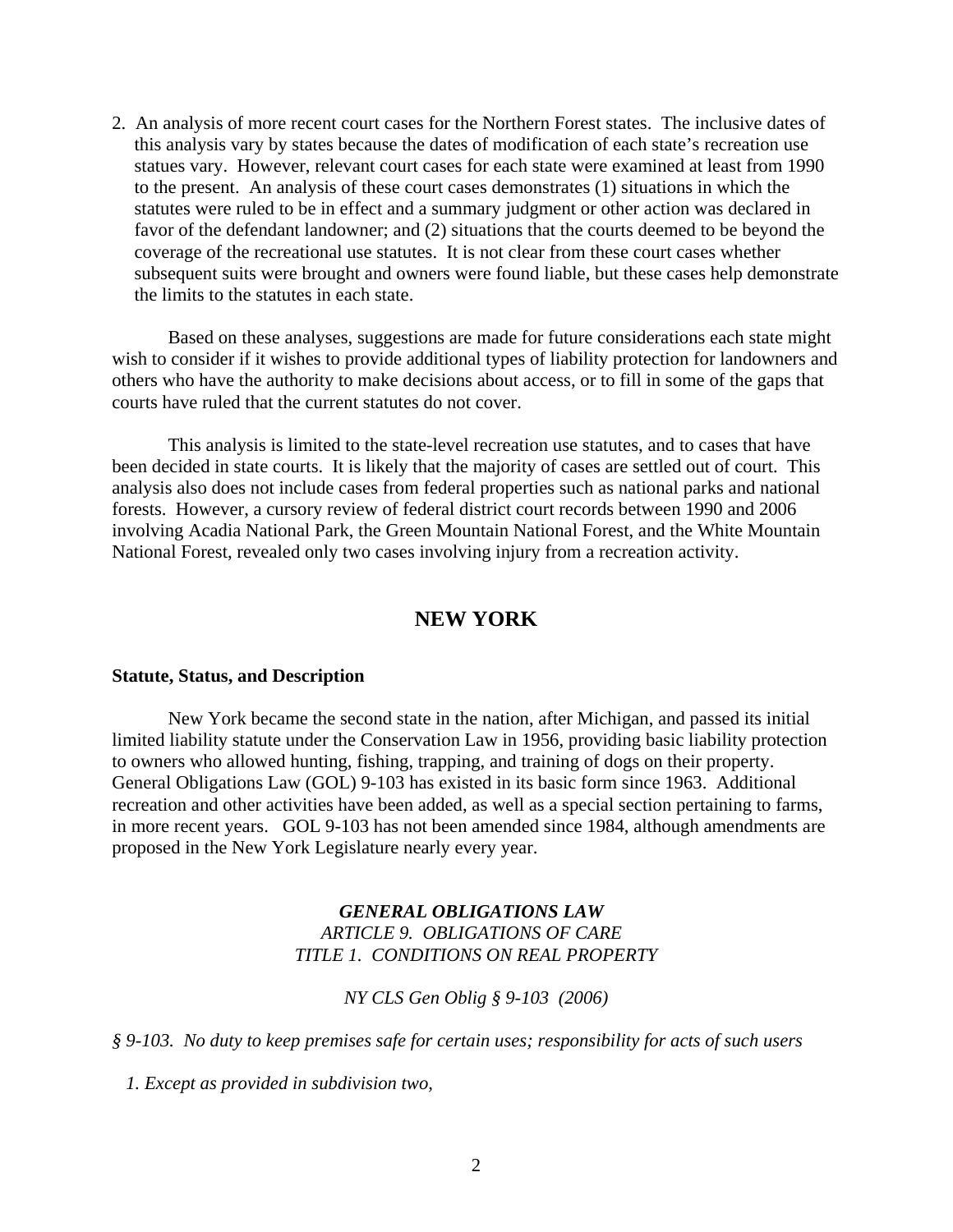2. An analysis of more recent court cases for the Northern Forest states. The inclusive dates of this analysis vary by states because the dates of modification of each state's recreation use statues vary. However, relevant court cases for each state were examined at least from 1990 to the present. An analysis of these court cases demonstrates (1) situations in which the statutes were ruled to be in effect and a summary judgment or other action was declared in favor of the defendant landowner; and (2) situations that the courts deemed to be beyond the coverage of the recreational use statutes. It is not clear from these court cases whether subsequent suits were brought and owners were found liable, but these cases help demonstrate the limits to the statutes in each state.

 Based on these analyses, suggestions are made for future considerations each state might wish to consider if it wishes to provide additional types of liability protection for landowners and others who have the authority to make decisions about access, or to fill in some of the gaps that courts have ruled that the current statutes do not cover.

 This analysis is limited to the state-level recreation use statutes, and to cases that have been decided in state courts. It is likely that the majority of cases are settled out of court. This analysis also does not include cases from federal properties such as national parks and national forests. However, a cursory review of federal district court records between 1990 and 2006 involving Acadia National Park, the Green Mountain National Forest, and the White Mountain National Forest, revealed only two cases involving injury from a recreation activity.

### **NEW YORK**

#### **Statute, Status, and Description**

 New York became the second state in the nation, after Michigan, and passed its initial limited liability statute under the Conservation Law in 1956, providing basic liability protection to owners who allowed hunting, fishing, trapping, and training of dogs on their property. General Obligations Law (GOL) 9-103 has existed in its basic form since 1963. Additional recreation and other activities have been added, as well as a special section pertaining to farms, in more recent years. GOL 9-103 has not been amended since 1984, although amendments are proposed in the New York Legislature nearly every year.

### *GENERAL OBLIGATIONS LAW ARTICLE 9. OBLIGATIONS OF CARE TITLE 1. CONDITIONS ON REAL PROPERTY*

*NY CLS Gen Oblig § 9-103 (2006)* 

*§ 9-103. No duty to keep premises safe for certain uses; responsibility for acts of such users* 

 *1. Except as provided in subdivision two,*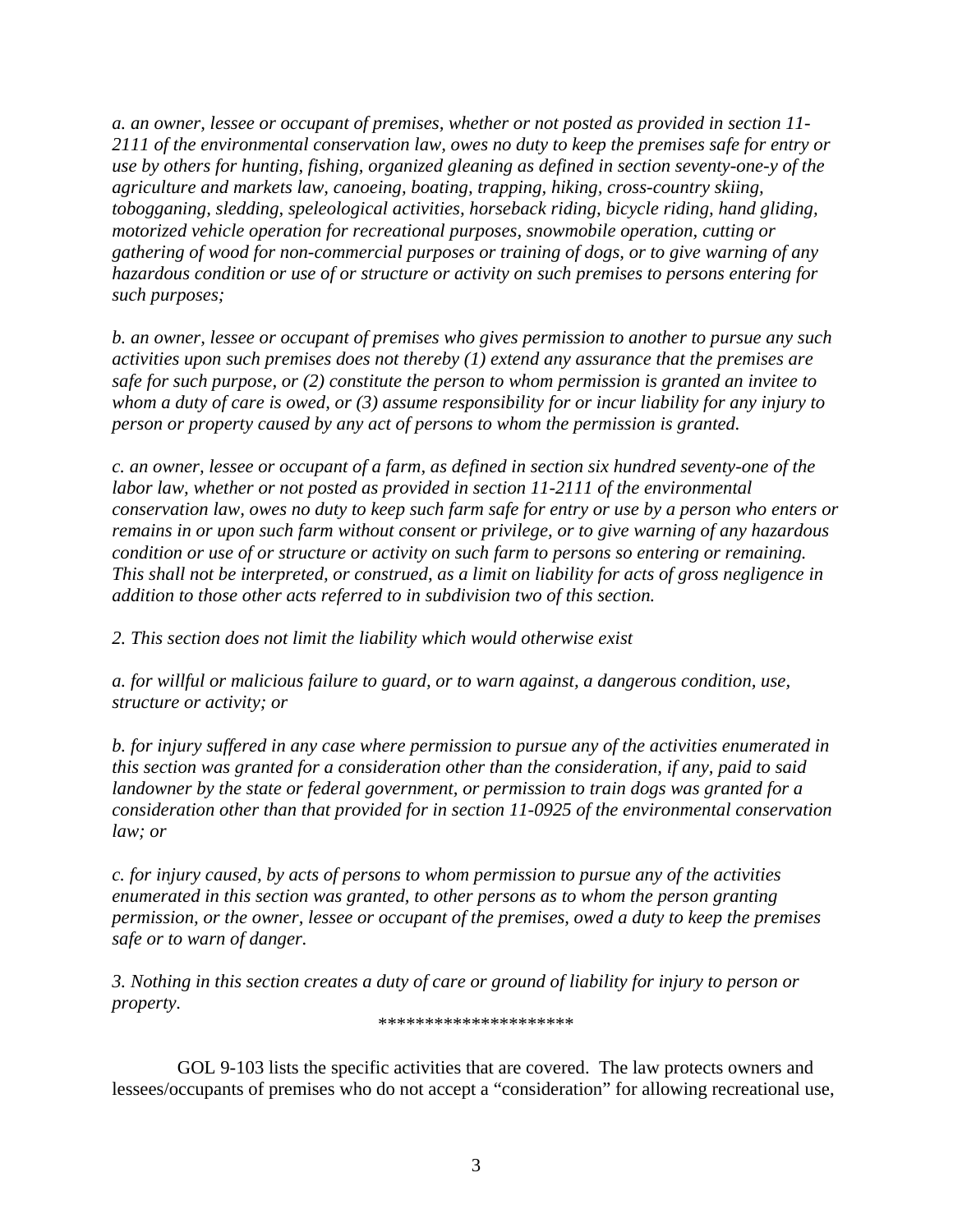*a. an owner, lessee or occupant of premises, whether or not posted as provided in section 11- 2111 of the environmental conservation law, owes no duty to keep the premises safe for entry or use by others for hunting, fishing, organized gleaning as defined in section seventy-one-y of the agriculture and markets law, canoeing, boating, trapping, hiking, cross-country skiing, tobogganing, sledding, speleological activities, horseback riding, bicycle riding, hand gliding, motorized vehicle operation for recreational purposes, snowmobile operation, cutting or gathering of wood for non-commercial purposes or training of dogs, or to give warning of any hazardous condition or use of or structure or activity on such premises to persons entering for such purposes;* 

*b. an owner, lessee or occupant of premises who gives permission to another to pursue any such activities upon such premises does not thereby (1) extend any assurance that the premises are safe for such purpose, or (2) constitute the person to whom permission is granted an invitee to whom a duty of care is owed, or (3) assume responsibility for or incur liability for any injury to person or property caused by any act of persons to whom the permission is granted.* 

*c. an owner, lessee or occupant of a farm, as defined in section six hundred seventy-one of the labor law, whether or not posted as provided in section 11-2111 of the environmental conservation law, owes no duty to keep such farm safe for entry or use by a person who enters or remains in or upon such farm without consent or privilege, or to give warning of any hazardous condition or use of or structure or activity on such farm to persons so entering or remaining. This shall not be interpreted, or construed, as a limit on liability for acts of gross negligence in addition to those other acts referred to in subdivision two of this section.* 

*2. This section does not limit the liability which would otherwise exist* 

*a. for willful or malicious failure to guard, or to warn against, a dangerous condition, use, structure or activity; or* 

*b. for injury suffered in any case where permission to pursue any of the activities enumerated in this section was granted for a consideration other than the consideration, if any, paid to said landowner by the state or federal government, or permission to train dogs was granted for a consideration other than that provided for in section 11-0925 of the environmental conservation law; or* 

*c. for injury caused, by acts of persons to whom permission to pursue any of the activities enumerated in this section was granted, to other persons as to whom the person granting permission, or the owner, lessee or occupant of the premises, owed a duty to keep the premises safe or to warn of danger.* 

*3. Nothing in this section creates a duty of care or ground of liability for injury to person or property.* 

\*\*\*\*\*\*\*\*\*\*\*\*\*\*\*\*\*\*\*\*\*

 GOL 9-103 lists the specific activities that are covered. The law protects owners and lessees/occupants of premises who do not accept a "consideration" for allowing recreational use,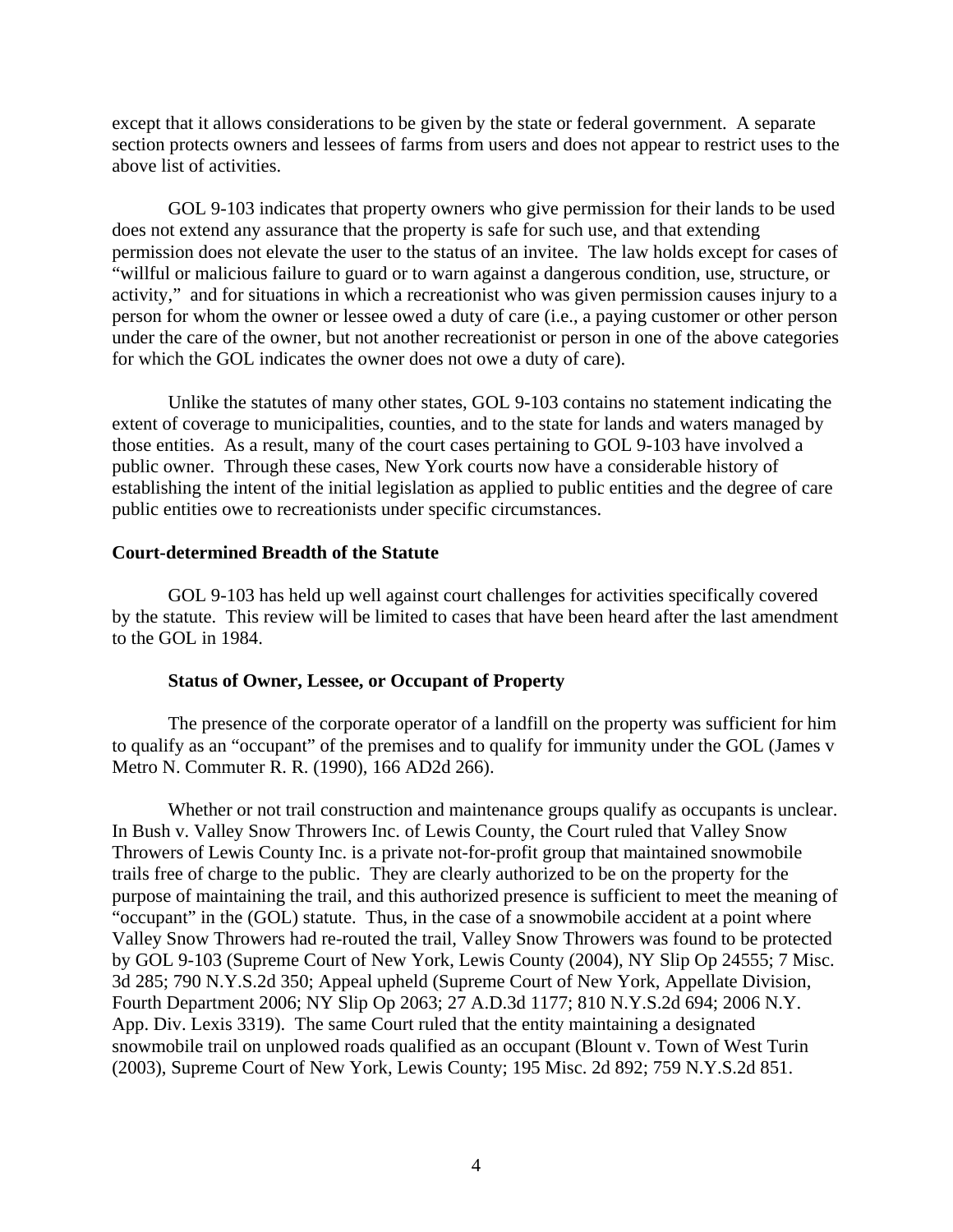except that it allows considerations to be given by the state or federal government. A separate section protects owners and lessees of farms from users and does not appear to restrict uses to the above list of activities.

 GOL 9-103 indicates that property owners who give permission for their lands to be used does not extend any assurance that the property is safe for such use, and that extending permission does not elevate the user to the status of an invitee. The law holds except for cases of "willful or malicious failure to guard or to warn against a dangerous condition, use, structure, or activity," and for situations in which a recreationist who was given permission causes injury to a person for whom the owner or lessee owed a duty of care (i.e., a paying customer or other person under the care of the owner, but not another recreationist or person in one of the above categories for which the GOL indicates the owner does not owe a duty of care).

 Unlike the statutes of many other states, GOL 9-103 contains no statement indicating the extent of coverage to municipalities, counties, and to the state for lands and waters managed by those entities. As a result, many of the court cases pertaining to GOL 9-103 have involved a public owner. Through these cases, New York courts now have a considerable history of establishing the intent of the initial legislation as applied to public entities and the degree of care public entities owe to recreationists under specific circumstances.

### **Court-determined Breadth of the Statute**

 GOL 9-103 has held up well against court challenges for activities specifically covered by the statute. This review will be limited to cases that have been heard after the last amendment to the GOL in 1984.

#### **Status of Owner, Lessee, or Occupant of Property**

The presence of the corporate operator of a landfill on the property was sufficient for him to qualify as an "occupant" of the premises and to qualify for immunity under the GOL (James v Metro N. Commuter R. R. (1990), 166 AD2d 266).

Whether or not trail construction and maintenance groups qualify as occupants is unclear. In Bush v. Valley Snow Throwers Inc. of Lewis County, the Court ruled that Valley Snow Throwers of Lewis County Inc. is a private not-for-profit group that maintained snowmobile trails free of charge to the public. They are clearly authorized to be on the property for the purpose of maintaining the trail, and this authorized presence is sufficient to meet the meaning of "occupant" in the (GOL) statute. Thus, in the case of a snowmobile accident at a point where Valley Snow Throwers had re-routed the trail, Valley Snow Throwers was found to be protected by GOL 9-103 (Supreme Court of New York, Lewis County (2004), NY Slip Op 24555; 7 Misc. 3d 285; 790 N.Y.S.2d 350; Appeal upheld (Supreme Court of New York, Appellate Division, Fourth Department 2006; NY Slip Op 2063; 27 A.D.3d 1177; 810 N.Y.S.2d 694; 2006 N.Y. App. Div. Lexis 3319). The same Court ruled that the entity maintaining a designated snowmobile trail on unplowed roads qualified as an occupant (Blount v. Town of West Turin (2003), Supreme Court of New York, Lewis County; 195 Misc. 2d 892; 759 N.Y.S.2d 851.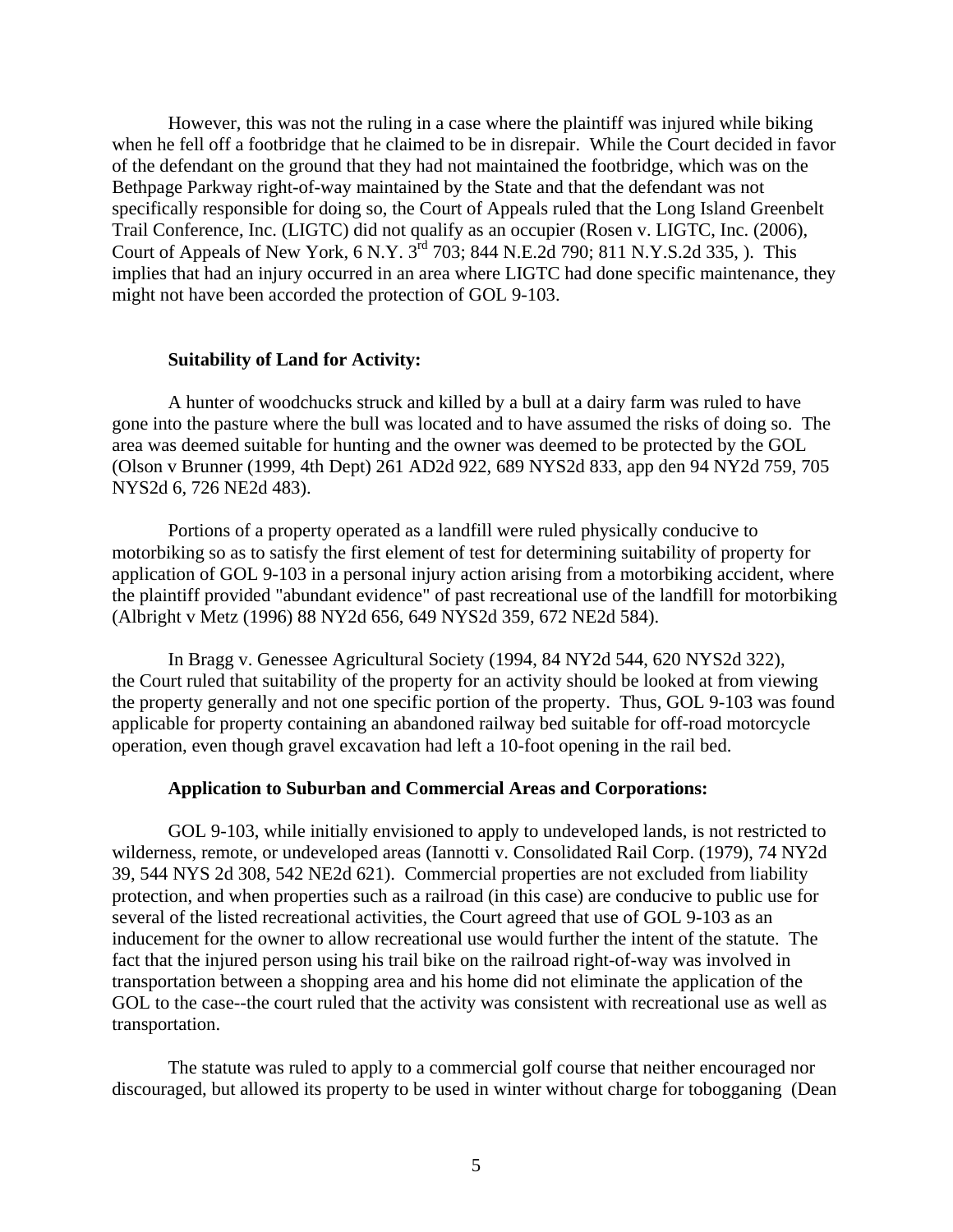However, this was not the ruling in a case where the plaintiff was injured while biking when he fell off a footbridge that he claimed to be in disrepair. While the Court decided in favor of the defendant on the ground that they had not maintained the footbridge, which was on the Bethpage Parkway right-of-way maintained by the State and that the defendant was not specifically responsible for doing so, the Court of Appeals ruled that the Long Island Greenbelt Trail Conference, Inc. (LIGTC) did not qualify as an occupier (Rosen v. LIGTC, Inc. (2006), Court of Appeals of New York, 6 N.Y. 3rd 703; 844 N.E.2d 790; 811 N.Y.S.2d 335, ). This implies that had an injury occurred in an area where LIGTC had done specific maintenance, they might not have been accorded the protection of GOL 9-103.

#### **Suitability of Land for Activity:**

A hunter of woodchucks struck and killed by a bull at a dairy farm was ruled to have gone into the pasture where the bull was located and to have assumed the risks of doing so. The area was deemed suitable for hunting and the owner was deemed to be protected by the GOL (Olson v Brunner (1999, 4th Dept) 261 AD2d 922, 689 NYS2d 833, app den 94 NY2d 759, 705 NYS2d 6, 726 NE2d 483).

 Portions of a property operated as a landfill were ruled physically conducive to motorbiking so as to satisfy the first element of test for determining suitability of property for application of GOL 9-103 in a personal injury action arising from a motorbiking accident, where the plaintiff provided "abundant evidence" of past recreational use of the landfill for motorbiking (Albright v Metz (1996) 88 NY2d 656, 649 NYS2d 359, 672 NE2d 584).

 In Bragg v. Genessee Agricultural Society (1994, 84 NY2d 544, 620 NYS2d 322), the Court ruled that suitability of the property for an activity should be looked at from viewing the property generally and not one specific portion of the property. Thus, GOL 9-103 was found applicable for property containing an abandoned railway bed suitable for off-road motorcycle operation, even though gravel excavation had left a 10-foot opening in the rail bed.

#### **Application to Suburban and Commercial Areas and Corporations:**

 GOL 9-103, while initially envisioned to apply to undeveloped lands, is not restricted to wilderness, remote, or undeveloped areas (Iannotti v. Consolidated Rail Corp. (1979), 74 NY2d 39, 544 NYS 2d 308, 542 NE2d 621). Commercial properties are not excluded from liability protection, and when properties such as a railroad (in this case) are conducive to public use for several of the listed recreational activities, the Court agreed that use of GOL 9-103 as an inducement for the owner to allow recreational use would further the intent of the statute. The fact that the injured person using his trail bike on the railroad right-of-way was involved in transportation between a shopping area and his home did not eliminate the application of the GOL to the case--the court ruled that the activity was consistent with recreational use as well as transportation.

 The statute was ruled to apply to a commercial golf course that neither encouraged nor discouraged, but allowed its property to be used in winter without charge for tobogganing (Dean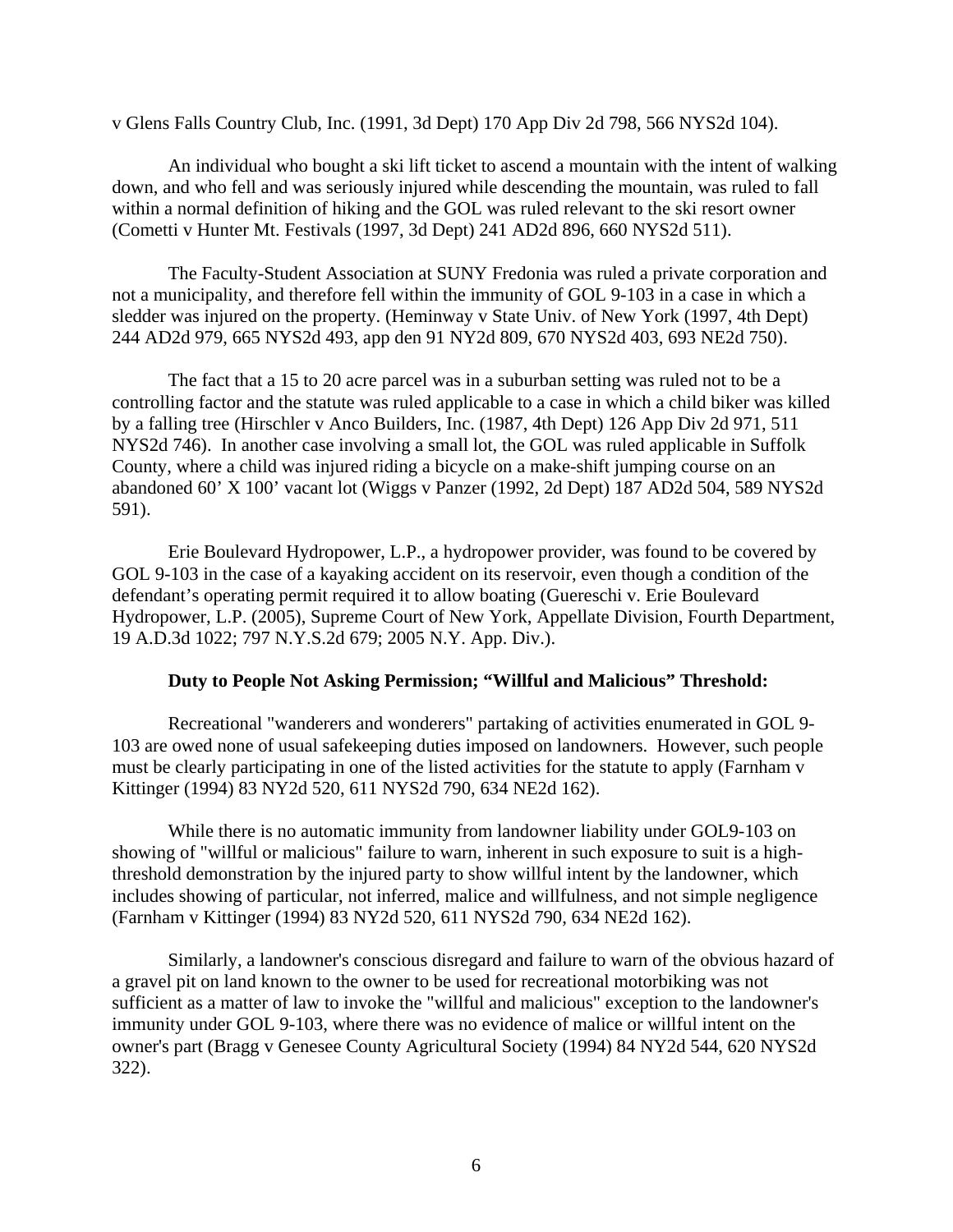v Glens Falls Country Club, Inc. (1991, 3d Dept) 170 App Div 2d 798, 566 NYS2d 104).

 An individual who bought a ski lift ticket to ascend a mountain with the intent of walking down, and who fell and was seriously injured while descending the mountain, was ruled to fall within a normal definition of hiking and the GOL was ruled relevant to the ski resort owner (Cometti v Hunter Mt. Festivals (1997, 3d Dept) 241 AD2d 896, 660 NYS2d 511).

 The Faculty-Student Association at SUNY Fredonia was ruled a private corporation and not a municipality, and therefore fell within the immunity of GOL 9-103 in a case in which a sledder was injured on the property. (Heminway v State Univ. of New York (1997, 4th Dept) 244 AD2d 979, 665 NYS2d 493, app den 91 NY2d 809, 670 NYS2d 403, 693 NE2d 750).

 The fact that a 15 to 20 acre parcel was in a suburban setting was ruled not to be a controlling factor and the statute was ruled applicable to a case in which a child biker was killed by a falling tree (Hirschler v Anco Builders, Inc. (1987, 4th Dept) 126 App Div 2d 971, 511 NYS2d 746). In another case involving a small lot, the GOL was ruled applicable in Suffolk County, where a child was injured riding a bicycle on a make-shift jumping course on an abandoned 60' X 100' vacant lot (Wiggs v Panzer (1992, 2d Dept) 187 AD2d 504, 589 NYS2d 591).

 Erie Boulevard Hydropower, L.P., a hydropower provider, was found to be covered by GOL 9-103 in the case of a kayaking accident on its reservoir, even though a condition of the defendant's operating permit required it to allow boating (Guereschi v. Erie Boulevard Hydropower, L.P. (2005), Supreme Court of New York, Appellate Division, Fourth Department, 19 A.D.3d 1022; 797 N.Y.S.2d 679; 2005 N.Y. App. Div.).

### **Duty to People Not Asking Permission; "Willful and Malicious" Threshold:**

 Recreational "wanderers and wonderers" partaking of activities enumerated in GOL 9- 103 are owed none of usual safekeeping duties imposed on landowners. However, such people must be clearly participating in one of the listed activities for the statute to apply (Farnham v Kittinger (1994) 83 NY2d 520, 611 NYS2d 790, 634 NE2d 162).

 While there is no automatic immunity from landowner liability under GOL9-103 on showing of "willful or malicious" failure to warn, inherent in such exposure to suit is a highthreshold demonstration by the injured party to show willful intent by the landowner, which includes showing of particular, not inferred, malice and willfulness, and not simple negligence (Farnham v Kittinger (1994) 83 NY2d 520, 611 NYS2d 790, 634 NE2d 162).

 Similarly, a landowner's conscious disregard and failure to warn of the obvious hazard of a gravel pit on land known to the owner to be used for recreational motorbiking was not sufficient as a matter of law to invoke the "willful and malicious" exception to the landowner's immunity under GOL 9-103, where there was no evidence of malice or willful intent on the owner's part (Bragg v Genesee County Agricultural Society (1994) 84 NY2d 544, 620 NYS2d 322).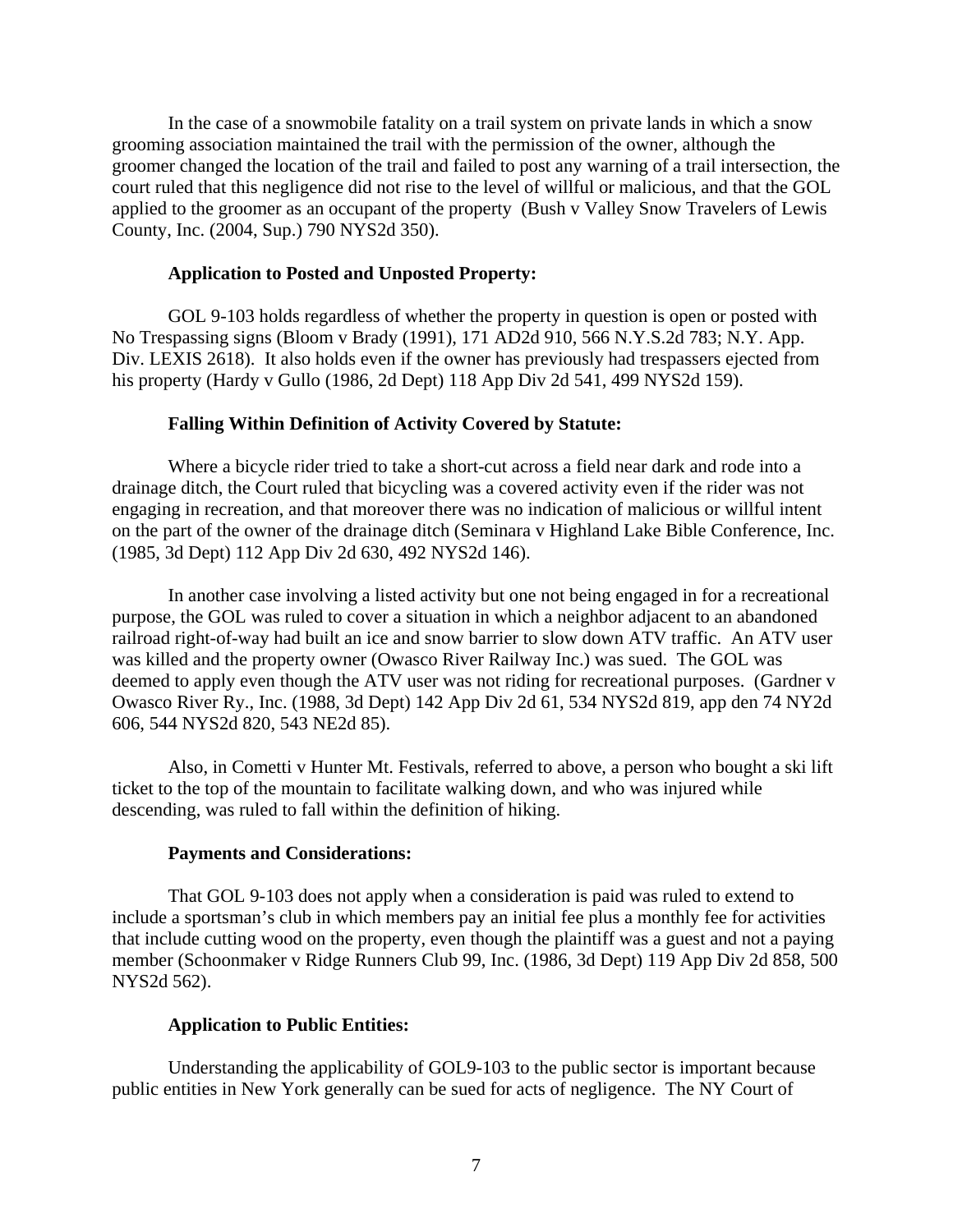In the case of a snowmobile fatality on a trail system on private lands in which a snow grooming association maintained the trail with the permission of the owner, although the groomer changed the location of the trail and failed to post any warning of a trail intersection, the court ruled that this negligence did not rise to the level of willful or malicious, and that the GOL applied to the groomer as an occupant of the property (Bush v Valley Snow Travelers of Lewis County, Inc. (2004, Sup.) 790 NYS2d 350).

### **Application to Posted and Unposted Property:**

 GOL 9-103 holds regardless of whether the property in question is open or posted with No Trespassing signs (Bloom v Brady (1991), 171 AD2d 910, 566 N.Y.S.2d 783; N.Y. App. Div. LEXIS 2618). It also holds even if the owner has previously had trespassers ejected from his property (Hardy v Gullo (1986, 2d Dept) 118 App Div 2d 541, 499 NYS2d 159).

### **Falling Within Definition of Activity Covered by Statute:**

 Where a bicycle rider tried to take a short-cut across a field near dark and rode into a drainage ditch, the Court ruled that bicycling was a covered activity even if the rider was not engaging in recreation, and that moreover there was no indication of malicious or willful intent on the part of the owner of the drainage ditch (Seminara v Highland Lake Bible Conference, Inc. (1985, 3d Dept) 112 App Div 2d 630, 492 NYS2d 146).

 In another case involving a listed activity but one not being engaged in for a recreational purpose, the GOL was ruled to cover a situation in which a neighbor adjacent to an abandoned railroad right-of-way had built an ice and snow barrier to slow down ATV traffic. An ATV user was killed and the property owner (Owasco River Railway Inc.) was sued. The GOL was deemed to apply even though the ATV user was not riding for recreational purposes. (Gardner v Owasco River Ry., Inc. (1988, 3d Dept) 142 App Div 2d 61, 534 NYS2d 819, app den 74 NY2d 606, 544 NYS2d 820, 543 NE2d 85).

 Also, in Cometti v Hunter Mt. Festivals, referred to above, a person who bought a ski lift ticket to the top of the mountain to facilitate walking down, and who was injured while descending, was ruled to fall within the definition of hiking.

### **Payments and Considerations:**

 That GOL 9-103 does not apply when a consideration is paid was ruled to extend to include a sportsman's club in which members pay an initial fee plus a monthly fee for activities that include cutting wood on the property, even though the plaintiff was a guest and not a paying member (Schoonmaker v Ridge Runners Club 99, Inc. (1986, 3d Dept) 119 App Div 2d 858, 500 NYS2d 562).

### **Application to Public Entities:**

 Understanding the applicability of GOL9-103 to the public sector is important because public entities in New York generally can be sued for acts of negligence. The NY Court of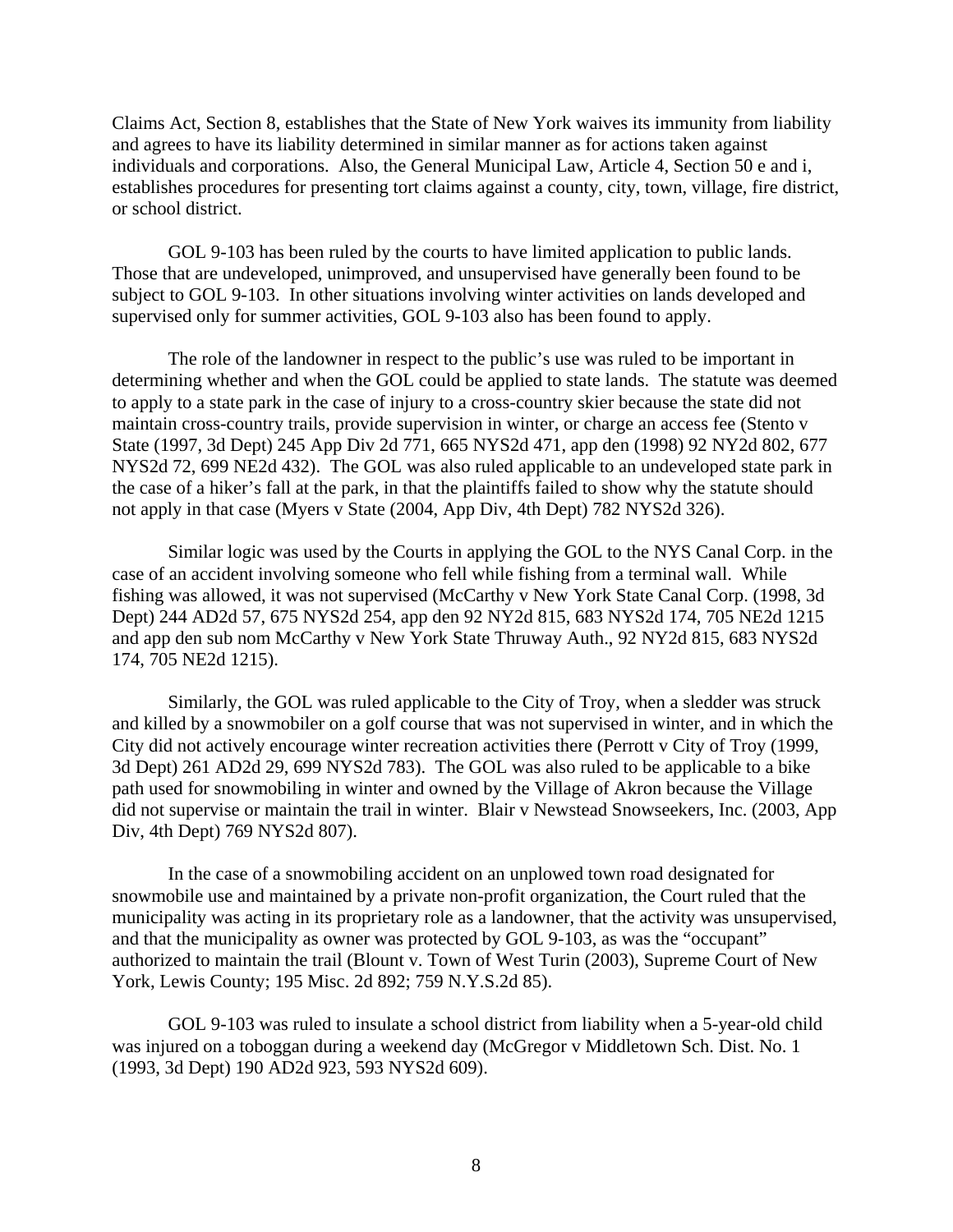Claims Act, Section 8, establishes that the State of New York waives its immunity from liability and agrees to have its liability determined in similar manner as for actions taken against individuals and corporations. Also, the General Municipal Law, Article 4, Section 50 e and i, establishes procedures for presenting tort claims against a county, city, town, village, fire district, or school district.

 GOL 9-103 has been ruled by the courts to have limited application to public lands. Those that are undeveloped, unimproved, and unsupervised have generally been found to be subject to GOL 9-103. In other situations involving winter activities on lands developed and supervised only for summer activities, GOL 9-103 also has been found to apply.

 The role of the landowner in respect to the public's use was ruled to be important in determining whether and when the GOL could be applied to state lands. The statute was deemed to apply to a state park in the case of injury to a cross-country skier because the state did not maintain cross-country trails, provide supervision in winter, or charge an access fee (Stento v State (1997, 3d Dept) 245 App Div 2d 771, 665 NYS2d 471, app den (1998) 92 NY2d 802, 677 NYS2d 72, 699 NE2d 432). The GOL was also ruled applicable to an undeveloped state park in the case of a hiker's fall at the park, in that the plaintiffs failed to show why the statute should not apply in that case (Myers v State (2004, App Div, 4th Dept) 782 NYS2d 326).

 Similar logic was used by the Courts in applying the GOL to the NYS Canal Corp. in the case of an accident involving someone who fell while fishing from a terminal wall. While fishing was allowed, it was not supervised (McCarthy v New York State Canal Corp. (1998, 3d Dept) 244 AD2d 57, 675 NYS2d 254, app den 92 NY2d 815, 683 NYS2d 174, 705 NE2d 1215 and app den sub nom McCarthy v New York State Thruway Auth., 92 NY2d 815, 683 NYS2d 174, 705 NE2d 1215).

 Similarly, the GOL was ruled applicable to the City of Troy, when a sledder was struck and killed by a snowmobiler on a golf course that was not supervised in winter, and in which the City did not actively encourage winter recreation activities there (Perrott v City of Troy (1999, 3d Dept) 261 AD2d 29, 699 NYS2d 783). The GOL was also ruled to be applicable to a bike path used for snowmobiling in winter and owned by the Village of Akron because the Village did not supervise or maintain the trail in winter. Blair v Newstead Snowseekers, Inc. (2003, App Div, 4th Dept) 769 NYS2d 807).

 In the case of a snowmobiling accident on an unplowed town road designated for snowmobile use and maintained by a private non-profit organization, the Court ruled that the municipality was acting in its proprietary role as a landowner, that the activity was unsupervised, and that the municipality as owner was protected by GOL 9-103, as was the "occupant" authorized to maintain the trail (Blount v. Town of West Turin (2003), Supreme Court of New York, Lewis County; 195 Misc. 2d 892; 759 N.Y.S.2d 85).

 GOL 9-103 was ruled to insulate a school district from liability when a 5-year-old child was injured on a toboggan during a weekend day (McGregor v Middletown Sch. Dist. No. 1 (1993, 3d Dept) 190 AD2d 923, 593 NYS2d 609).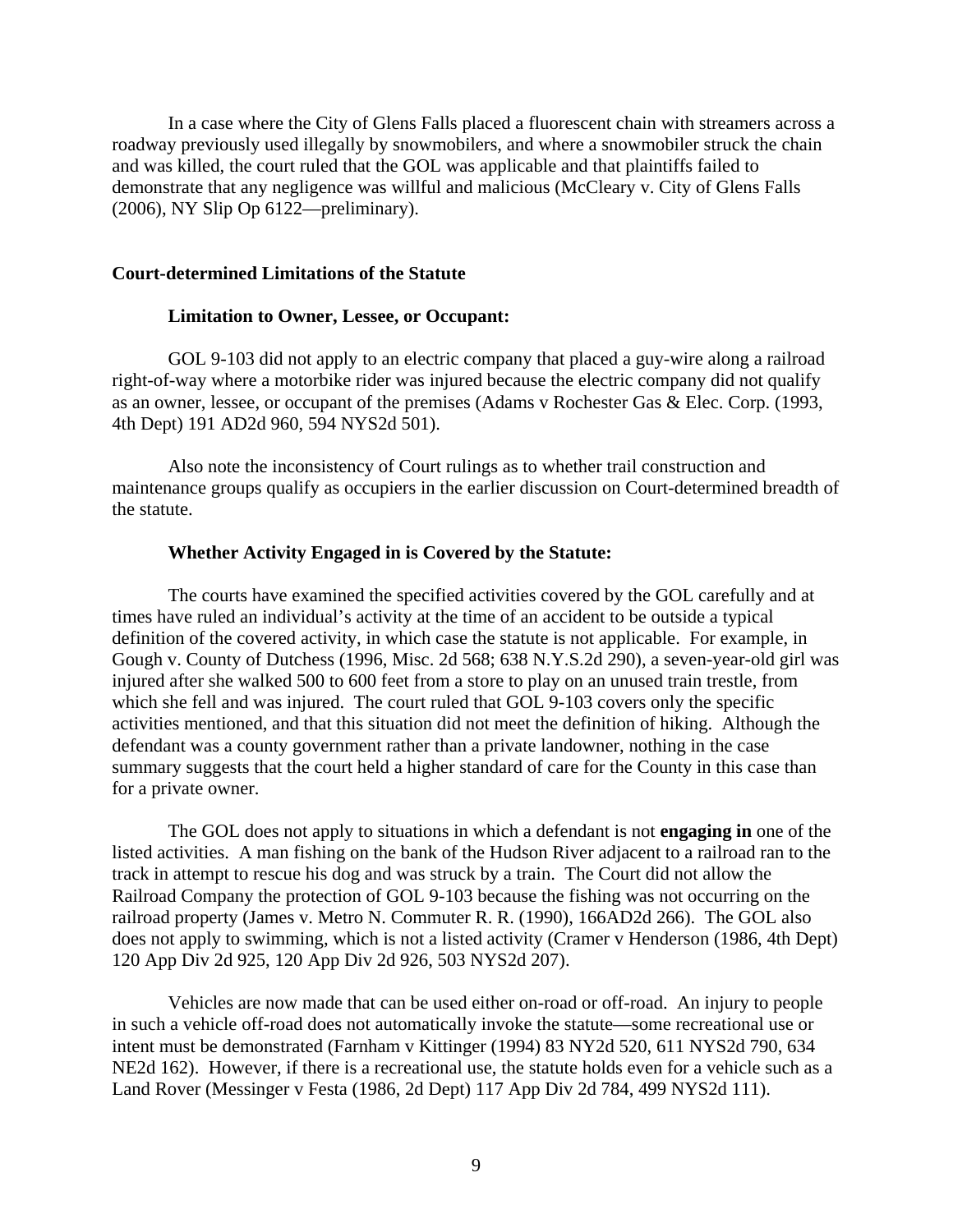In a case where the City of Glens Falls placed a fluorescent chain with streamers across a roadway previously used illegally by snowmobilers, and where a snowmobiler struck the chain and was killed, the court ruled that the GOL was applicable and that plaintiffs failed to demonstrate that any negligence was willful and malicious (McCleary v. City of Glens Falls (2006), NY Slip Op 6122—preliminary).

### **Court-determined Limitations of the Statute**

### **Limitation to Owner, Lessee, or Occupant:**

 GOL 9-103 did not apply to an electric company that placed a guy-wire along a railroad right-of-way where a motorbike rider was injured because the electric company did not qualify as an owner, lessee, or occupant of the premises (Adams v Rochester Gas & Elec. Corp. (1993, 4th Dept) 191 AD2d 960, 594 NYS2d 501).

 Also note the inconsistency of Court rulings as to whether trail construction and maintenance groups qualify as occupiers in the earlier discussion on Court-determined breadth of the statute.

#### **Whether Activity Engaged in is Covered by the Statute:**

 The courts have examined the specified activities covered by the GOL carefully and at times have ruled an individual's activity at the time of an accident to be outside a typical definition of the covered activity, in which case the statute is not applicable. For example, in Gough v. County of Dutchess (1996, Misc. 2d 568; 638 N.Y.S.2d 290), a seven-year-old girl was injured after she walked 500 to 600 feet from a store to play on an unused train trestle, from which she fell and was injured. The court ruled that GOL 9-103 covers only the specific activities mentioned, and that this situation did not meet the definition of hiking. Although the defendant was a county government rather than a private landowner, nothing in the case summary suggests that the court held a higher standard of care for the County in this case than for a private owner.

 The GOL does not apply to situations in which a defendant is not **engaging in** one of the listed activities. A man fishing on the bank of the Hudson River adjacent to a railroad ran to the track in attempt to rescue his dog and was struck by a train. The Court did not allow the Railroad Company the protection of GOL 9-103 because the fishing was not occurring on the railroad property (James v. Metro N. Commuter R. R. (1990), 166AD2d 266). The GOL also does not apply to swimming, which is not a listed activity (Cramer v Henderson (1986, 4th Dept) 120 App Div 2d 925, 120 App Div 2d 926, 503 NYS2d 207).

 Vehicles are now made that can be used either on-road or off-road. An injury to people in such a vehicle off-road does not automatically invoke the statute—some recreational use or intent must be demonstrated (Farnham v Kittinger (1994) 83 NY2d 520, 611 NYS2d 790, 634 NE2d 162). However, if there is a recreational use, the statute holds even for a vehicle such as a Land Rover (Messinger v Festa (1986, 2d Dept) 117 App Div 2d 784, 499 NYS2d 111).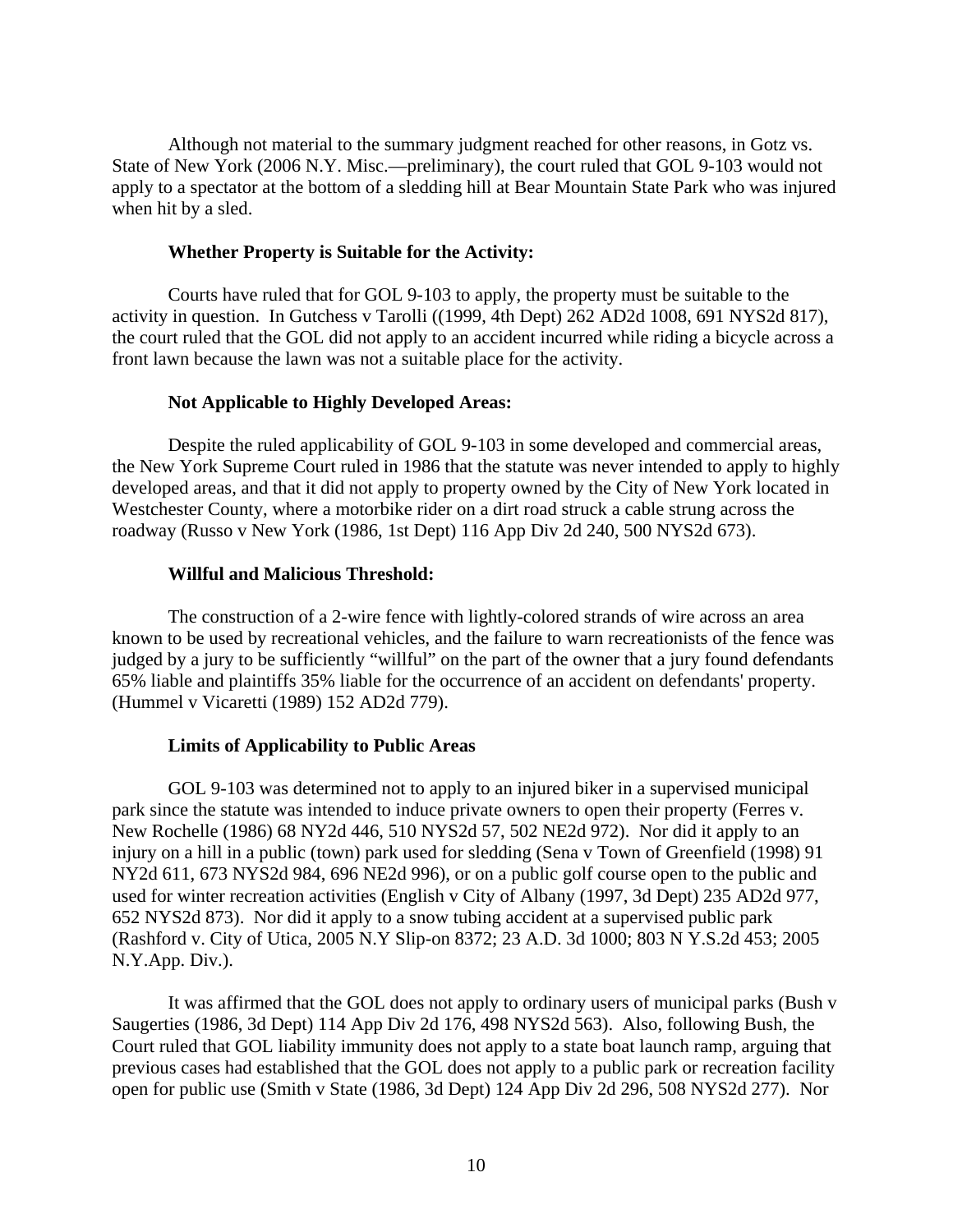Although not material to the summary judgment reached for other reasons, in Gotz vs. State of New York (2006 N.Y. Misc.—preliminary), the court ruled that GOL 9-103 would not apply to a spectator at the bottom of a sledding hill at Bear Mountain State Park who was injured when hit by a sled.

#### **Whether Property is Suitable for the Activity:**

 Courts have ruled that for GOL 9-103 to apply, the property must be suitable to the activity in question. In Gutchess v Tarolli ((1999, 4th Dept) 262 AD2d 1008, 691 NYS2d 817), the court ruled that the GOL did not apply to an accident incurred while riding a bicycle across a front lawn because the lawn was not a suitable place for the activity.

#### **Not Applicable to Highly Developed Areas:**

 Despite the ruled applicability of GOL 9-103 in some developed and commercial areas, the New York Supreme Court ruled in 1986 that the statute was never intended to apply to highly developed areas, and that it did not apply to property owned by the City of New York located in Westchester County, where a motorbike rider on a dirt road struck a cable strung across the roadway (Russo v New York (1986, 1st Dept) 116 App Div 2d 240, 500 NYS2d 673).

### **Willful and Malicious Threshold:**

 The construction of a 2-wire fence with lightly-colored strands of wire across an area known to be used by recreational vehicles, and the failure to warn recreationists of the fence was judged by a jury to be sufficiently "willful" on the part of the owner that a jury found defendants 65% liable and plaintiffs 35% liable for the occurrence of an accident on defendants' property. (Hummel v Vicaretti (1989) 152 AD2d 779).

### **Limits of Applicability to Public Areas**

 GOL 9-103 was determined not to apply to an injured biker in a supervised municipal park since the statute was intended to induce private owners to open their property (Ferres v. New Rochelle (1986) 68 NY2d 446, 510 NYS2d 57, 502 NE2d 972). Nor did it apply to an injury on a hill in a public (town) park used for sledding (Sena v Town of Greenfield (1998) 91 NY2d 611, 673 NYS2d 984, 696 NE2d 996), or on a public golf course open to the public and used for winter recreation activities (English v City of Albany (1997, 3d Dept) 235 AD2d 977, 652 NYS2d 873). Nor did it apply to a snow tubing accident at a supervised public park (Rashford v. City of Utica, 2005 N.Y Slip-on 8372; 23 A.D. 3d 1000; 803 N Y.S.2d 453; 2005 N.Y.App. Div.).

 It was affirmed that the GOL does not apply to ordinary users of municipal parks (Bush v Saugerties (1986, 3d Dept) 114 App Div 2d 176, 498 NYS2d 563). Also, following Bush, the Court ruled that GOL liability immunity does not apply to a state boat launch ramp, arguing that previous cases had established that the GOL does not apply to a public park or recreation facility open for public use (Smith v State (1986, 3d Dept) 124 App Div 2d 296, 508 NYS2d 277). Nor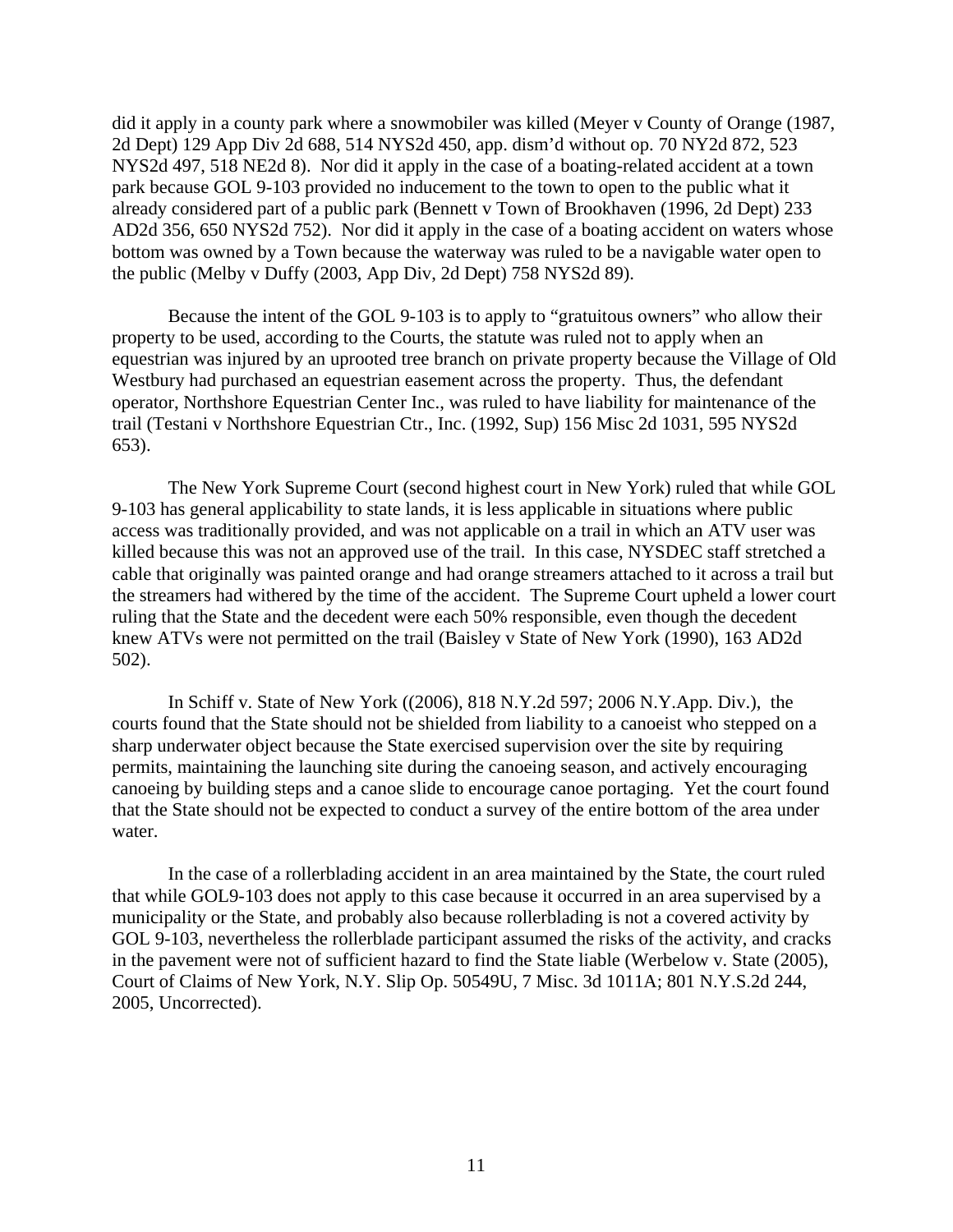did it apply in a county park where a snowmobiler was killed (Meyer v County of Orange (1987, 2d Dept) 129 App Div 2d 688, 514 NYS2d 450, app. dism'd without op. 70 NY2d 872, 523 NYS2d 497, 518 NE2d 8). Nor did it apply in the case of a boating-related accident at a town park because GOL 9-103 provided no inducement to the town to open to the public what it already considered part of a public park (Bennett v Town of Brookhaven (1996, 2d Dept) 233 AD2d 356, 650 NYS2d 752). Nor did it apply in the case of a boating accident on waters whose bottom was owned by a Town because the waterway was ruled to be a navigable water open to the public (Melby v Duffy (2003, App Div, 2d Dept) 758 NYS2d 89).

 Because the intent of the GOL 9-103 is to apply to "gratuitous owners" who allow their property to be used, according to the Courts, the statute was ruled not to apply when an equestrian was injured by an uprooted tree branch on private property because the Village of Old Westbury had purchased an equestrian easement across the property. Thus, the defendant operator, Northshore Equestrian Center Inc., was ruled to have liability for maintenance of the trail (Testani v Northshore Equestrian Ctr., Inc. (1992, Sup) 156 Misc 2d 1031, 595 NYS2d 653).

 The New York Supreme Court (second highest court in New York) ruled that while GOL 9-103 has general applicability to state lands, it is less applicable in situations where public access was traditionally provided, and was not applicable on a trail in which an ATV user was killed because this was not an approved use of the trail. In this case, NYSDEC staff stretched a cable that originally was painted orange and had orange streamers attached to it across a trail but the streamers had withered by the time of the accident. The Supreme Court upheld a lower court ruling that the State and the decedent were each 50% responsible, even though the decedent knew ATVs were not permitted on the trail (Baisley v State of New York (1990), 163 AD2d 502).

 In Schiff v. State of New York ((2006), 818 N.Y.2d 597; 2006 N.Y.App. Div.), the courts found that the State should not be shielded from liability to a canoeist who stepped on a sharp underwater object because the State exercised supervision over the site by requiring permits, maintaining the launching site during the canoeing season, and actively encouraging canoeing by building steps and a canoe slide to encourage canoe portaging. Yet the court found that the State should not be expected to conduct a survey of the entire bottom of the area under water.

 In the case of a rollerblading accident in an area maintained by the State, the court ruled that while GOL9-103 does not apply to this case because it occurred in an area supervised by a municipality or the State, and probably also because rollerblading is not a covered activity by GOL 9-103, nevertheless the rollerblade participant assumed the risks of the activity, and cracks in the pavement were not of sufficient hazard to find the State liable (Werbelow v. State (2005), Court of Claims of New York, N.Y. Slip Op. 50549U, 7 Misc. 3d 1011A; 801 N.Y.S.2d 244, 2005, Uncorrected).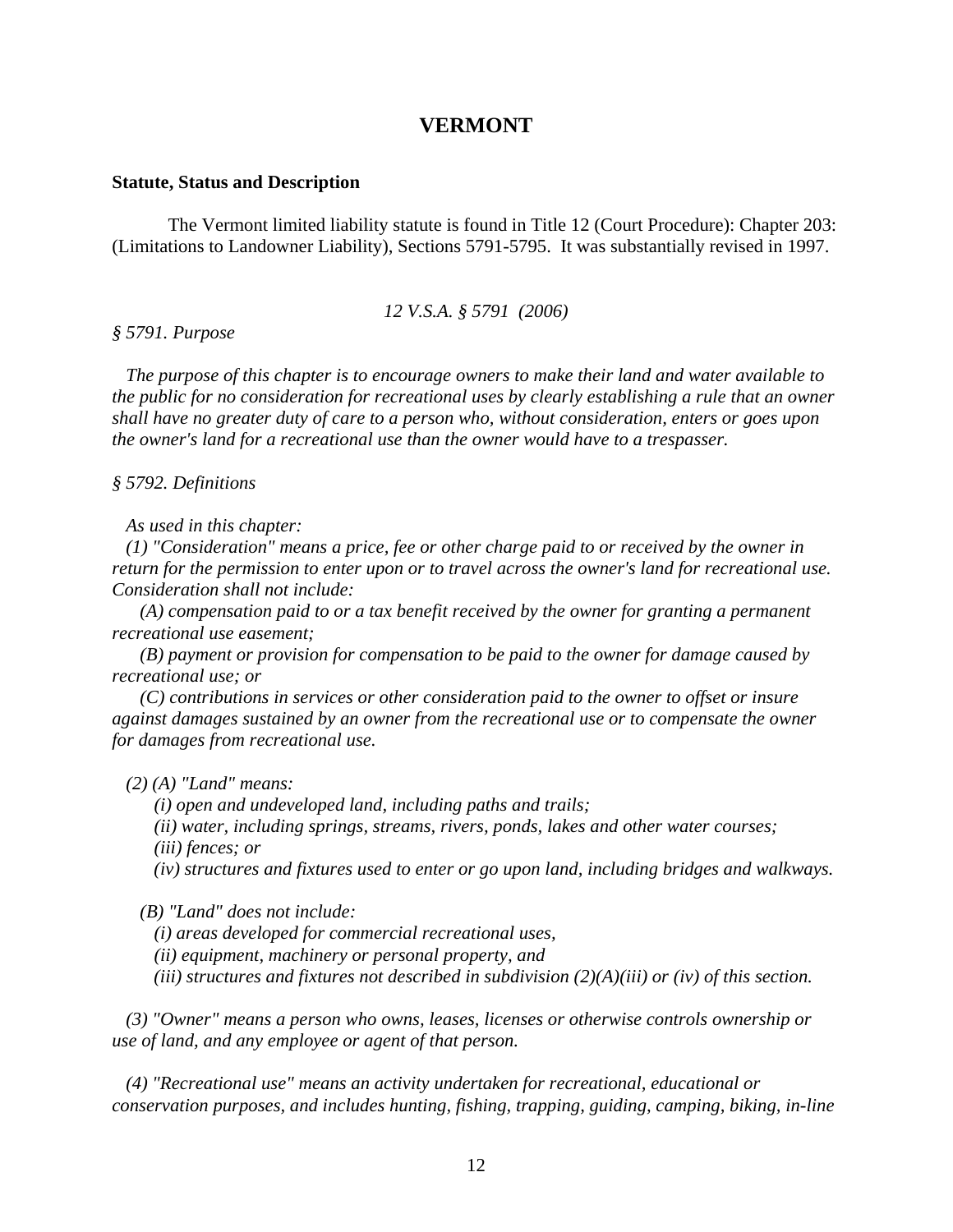### **VERMONT**

#### **Statute, Status and Description**

 The Vermont limited liability statute is found in Title 12 (Court Procedure): Chapter 203: (Limitations to Landowner Liability), Sections 5791-5795. It was substantially revised in 1997.

#### *12 V.S.A. § 5791 (2006)*

### *§ 5791. Purpose*

 *The purpose of this chapter is to encourage owners to make their land and water available to the public for no consideration for recreational uses by clearly establishing a rule that an owner shall have no greater duty of care to a person who, without consideration, enters or goes upon the owner's land for a recreational use than the owner would have to a trespasser.* 

#### *§ 5792. Definitions*

 *As used in this chapter:* 

 *(1) "Consideration" means a price, fee or other charge paid to or received by the owner in return for the permission to enter upon or to travel across the owner's land for recreational use. Consideration shall not include:* 

 *(A) compensation paid to or a tax benefit received by the owner for granting a permanent recreational use easement;* 

 *(B) payment or provision for compensation to be paid to the owner for damage caused by recreational use; or* 

 *(C) contributions in services or other consideration paid to the owner to offset or insure against damages sustained by an owner from the recreational use or to compensate the owner for damages from recreational use.* 

 *(2) (A) "Land" means:* 

 *(i) open and undeveloped land, including paths and trails;* 

 *(ii) water, including springs, streams, rivers, ponds, lakes and other water courses;* 

 *(iii) fences; or* 

 *(iv) structures and fixtures used to enter or go upon land, including bridges and walkways.* 

 *(B) "Land" does not include:* 

 *(i) areas developed for commercial recreational uses,* 

 *(ii) equipment, machinery or personal property, and* 

 *(iii) structures and fixtures not described in subdivision (2)(A)(iii) or (iv) of this section.* 

 *(3) "Owner" means a person who owns, leases, licenses or otherwise controls ownership or use of land, and any employee or agent of that person.* 

 *(4) "Recreational use" means an activity undertaken for recreational, educational or conservation purposes, and includes hunting, fishing, trapping, guiding, camping, biking, in-line*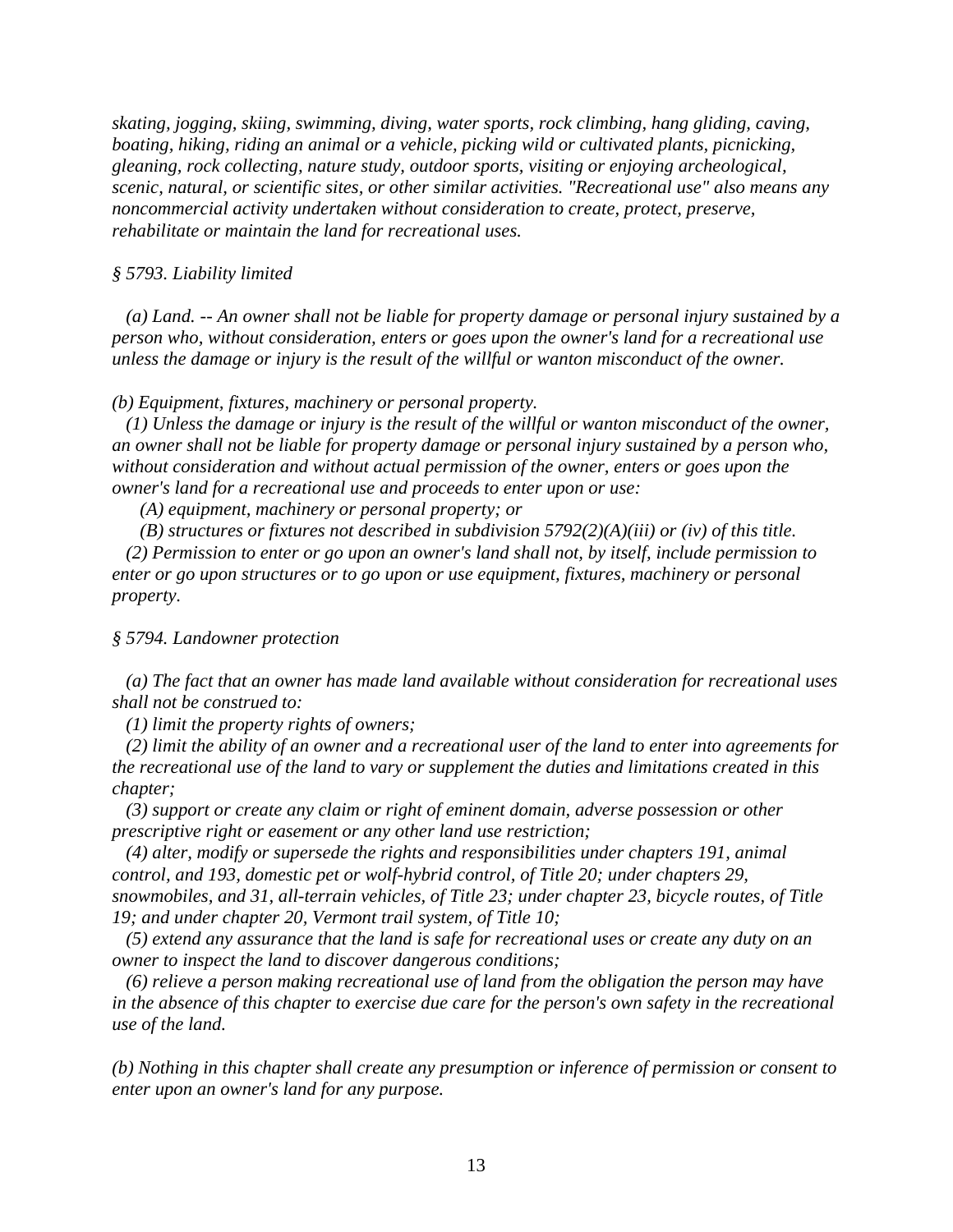*skating, jogging, skiing, swimming, diving, water sports, rock climbing, hang gliding, caving, boating, hiking, riding an animal or a vehicle, picking wild or cultivated plants, picnicking, gleaning, rock collecting, nature study, outdoor sports, visiting or enjoying archeological, scenic, natural, or scientific sites, or other similar activities. "Recreational use" also means any noncommercial activity undertaken without consideration to create, protect, preserve, rehabilitate or maintain the land for recreational uses.* 

### *§ 5793. Liability limited*

 *(a) Land. -- An owner shall not be liable for property damage or personal injury sustained by a person who, without consideration, enters or goes upon the owner's land for a recreational use unless the damage or injury is the result of the willful or wanton misconduct of the owner.* 

### *(b) Equipment, fixtures, machinery or personal property.*

 *(1) Unless the damage or injury is the result of the willful or wanton misconduct of the owner, an owner shall not be liable for property damage or personal injury sustained by a person who, without consideration and without actual permission of the owner, enters or goes upon the owner's land for a recreational use and proceeds to enter upon or use:* 

 *(A) equipment, machinery or personal property; or* 

 *(B) structures or fixtures not described in subdivision 5792(2)(A)(iii) or (iv) of this title.* 

 *(2) Permission to enter or go upon an owner's land shall not, by itself, include permission to enter or go upon structures or to go upon or use equipment, fixtures, machinery or personal property.* 

### *§ 5794. Landowner protection*

 *(a) The fact that an owner has made land available without consideration for recreational uses shall not be construed to:* 

 *(1) limit the property rights of owners;* 

 *(2) limit the ability of an owner and a recreational user of the land to enter into agreements for the recreational use of the land to vary or supplement the duties and limitations created in this chapter;* 

 *(3) support or create any claim or right of eminent domain, adverse possession or other prescriptive right or easement or any other land use restriction;* 

 *(4) alter, modify or supersede the rights and responsibilities under chapters 191, animal control, and 193, domestic pet or wolf-hybrid control, of Title 20; under chapters 29, snowmobiles, and 31, all-terrain vehicles, of Title 23; under chapter 23, bicycle routes, of Title 19; and under chapter 20, Vermont trail system, of Title 10;* 

 *(5) extend any assurance that the land is safe for recreational uses or create any duty on an owner to inspect the land to discover dangerous conditions;* 

 *(6) relieve a person making recreational use of land from the obligation the person may have in the absence of this chapter to exercise due care for the person's own safety in the recreational use of the land.* 

*(b) Nothing in this chapter shall create any presumption or inference of permission or consent to enter upon an owner's land for any purpose.*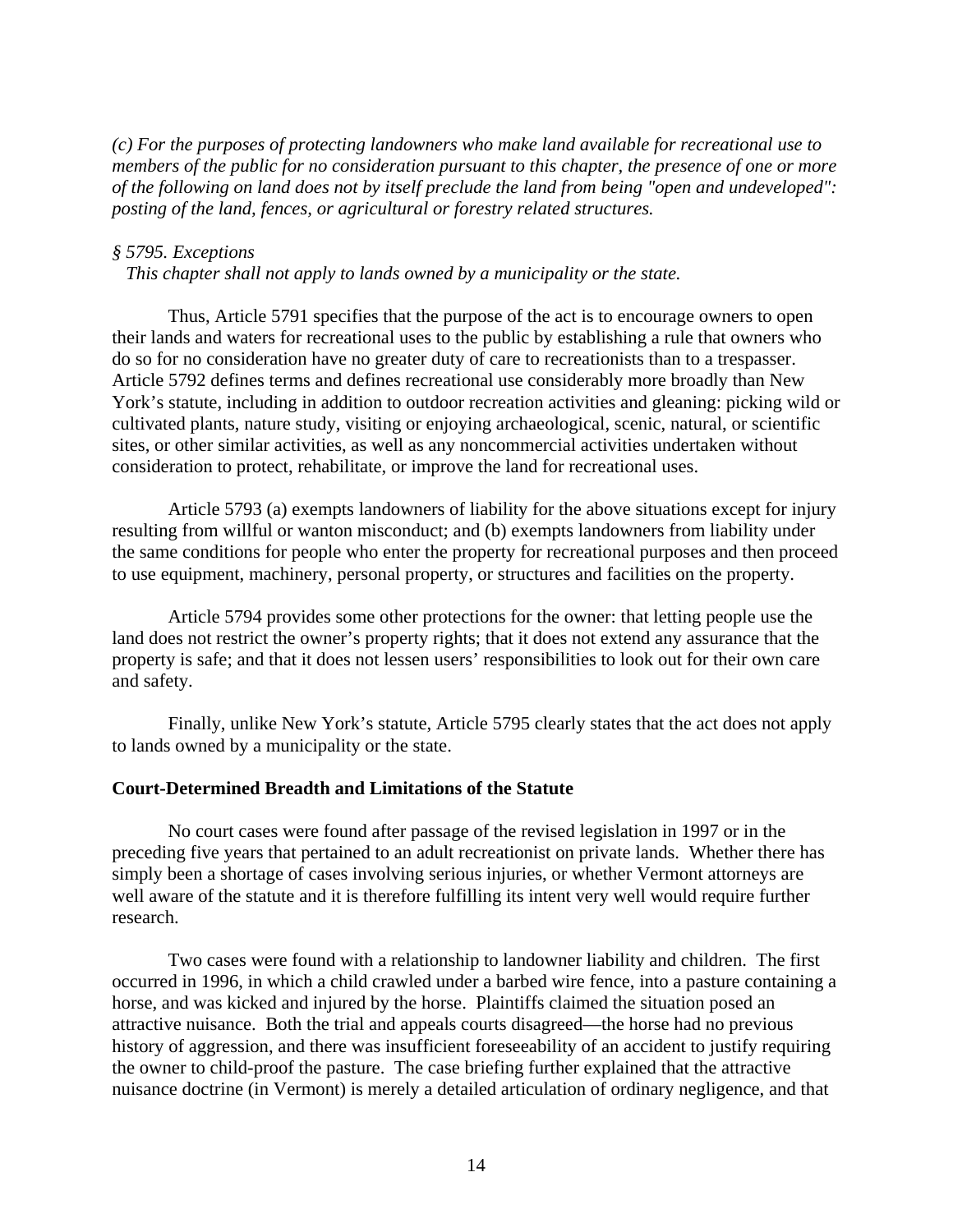*(c) For the purposes of protecting landowners who make land available for recreational use to members of the public for no consideration pursuant to this chapter, the presence of one or more of the following on land does not by itself preclude the land from being "open and undeveloped": posting of the land, fences, or agricultural or forestry related structures.* 

### *§ 5795. Exceptions*

 *This chapter shall not apply to lands owned by a municipality or the state.* 

 Thus, Article 5791 specifies that the purpose of the act is to encourage owners to open their lands and waters for recreational uses to the public by establishing a rule that owners who do so for no consideration have no greater duty of care to recreationists than to a trespasser. Article 5792 defines terms and defines recreational use considerably more broadly than New York's statute, including in addition to outdoor recreation activities and gleaning: picking wild or cultivated plants, nature study, visiting or enjoying archaeological, scenic, natural, or scientific sites, or other similar activities, as well as any noncommercial activities undertaken without consideration to protect, rehabilitate, or improve the land for recreational uses.

 Article 5793 (a) exempts landowners of liability for the above situations except for injury resulting from willful or wanton misconduct; and (b) exempts landowners from liability under the same conditions for people who enter the property for recreational purposes and then proceed to use equipment, machinery, personal property, or structures and facilities on the property.

 Article 5794 provides some other protections for the owner: that letting people use the land does not restrict the owner's property rights; that it does not extend any assurance that the property is safe; and that it does not lessen users' responsibilities to look out for their own care and safety.

 Finally, unlike New York's statute, Article 5795 clearly states that the act does not apply to lands owned by a municipality or the state.

### **Court-Determined Breadth and Limitations of the Statute**

 No court cases were found after passage of the revised legislation in 1997 or in the preceding five years that pertained to an adult recreationist on private lands. Whether there has simply been a shortage of cases involving serious injuries, or whether Vermont attorneys are well aware of the statute and it is therefore fulfilling its intent very well would require further research.

 Two cases were found with a relationship to landowner liability and children. The first occurred in 1996, in which a child crawled under a barbed wire fence, into a pasture containing a horse, and was kicked and injured by the horse. Plaintiffs claimed the situation posed an attractive nuisance. Both the trial and appeals courts disagreed—the horse had no previous history of aggression, and there was insufficient foreseeability of an accident to justify requiring the owner to child-proof the pasture. The case briefing further explained that the attractive nuisance doctrine (in Vermont) is merely a detailed articulation of ordinary negligence, and that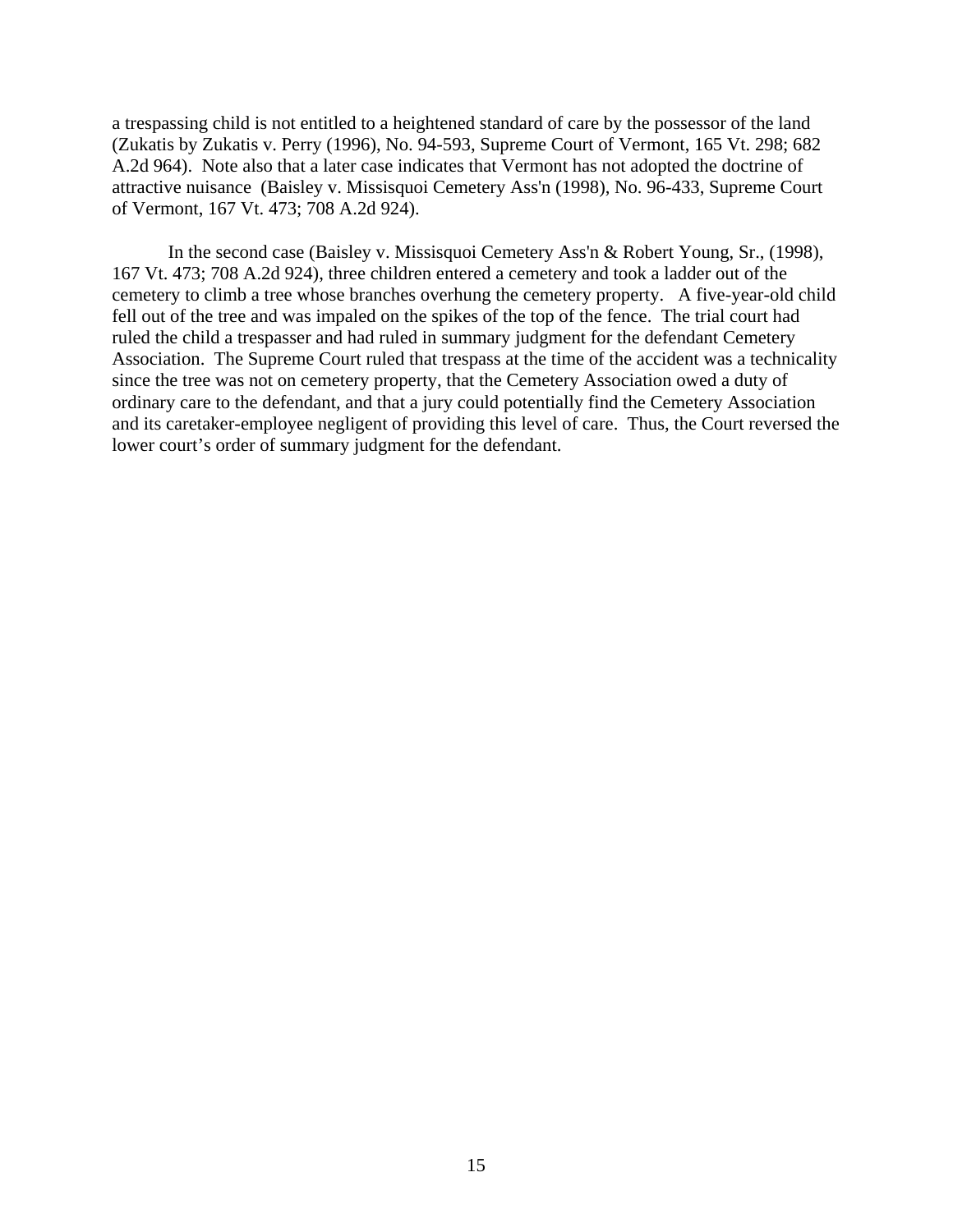a trespassing child is not entitled to a heightened standard of care by the possessor of the land (Zukatis by Zukatis v. Perry (1996), No. 94-593, Supreme Court of Vermont, 165 Vt. 298; 682 A.2d 964). Note also that a later case indicates that Vermont has not adopted the doctrine of attractive nuisance (Baisley v. Missisquoi Cemetery Ass'n (1998), No. 96-433, Supreme Court of Vermont, 167 Vt. 473; 708 A.2d 924).

 In the second case (Baisley v. Missisquoi Cemetery Ass'n & Robert Young, Sr., (1998), 167 Vt. 473; 708 A.2d 924), three children entered a cemetery and took a ladder out of the cemetery to climb a tree whose branches overhung the cemetery property. A five-year-old child fell out of the tree and was impaled on the spikes of the top of the fence. The trial court had ruled the child a trespasser and had ruled in summary judgment for the defendant Cemetery Association. The Supreme Court ruled that trespass at the time of the accident was a technicality since the tree was not on cemetery property, that the Cemetery Association owed a duty of ordinary care to the defendant, and that a jury could potentially find the Cemetery Association and its caretaker-employee negligent of providing this level of care. Thus, the Court reversed the lower court's order of summary judgment for the defendant.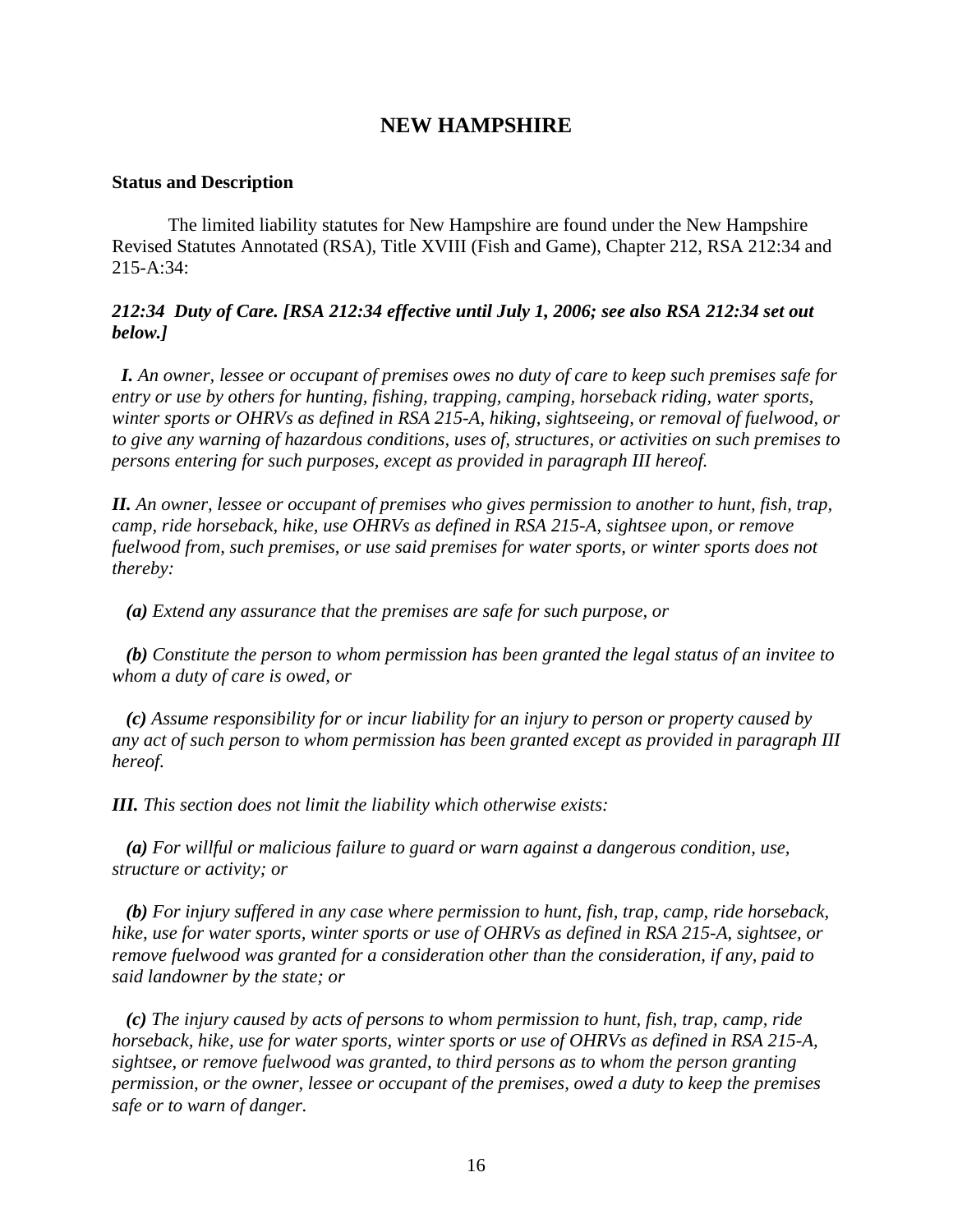### **NEW HAMPSHIRE**

### **Status and Description**

 The limited liability statutes for New Hampshire are found under the New Hampshire Revised Statutes Annotated (RSA), Title XVIII (Fish and Game), Chapter 212, RSA 212:34 and 215-A:34:

### *212:34 Duty of Care. [RSA 212:34 effective until July 1, 2006; see also RSA 212:34 set out below.]*

 *I. An owner, lessee or occupant of premises owes no duty of care to keep such premises safe for entry or use by others for hunting, fishing, trapping, camping, horseback riding, water sports, winter sports or OHRVs as defined in RSA 215-A, hiking, sightseeing, or removal of fuelwood, or to give any warning of hazardous conditions, uses of, structures, or activities on such premises to persons entering for such purposes, except as provided in paragraph III hereof.* 

*II. An owner, lessee or occupant of premises who gives permission to another to hunt, fish, trap, camp, ride horseback, hike, use OHRVs as defined in RSA 215-A, sightsee upon, or remove fuelwood from, such premises, or use said premises for water sports, or winter sports does not thereby:* 

 *(a) Extend any assurance that the premises are safe for such purpose, or* 

 *(b) Constitute the person to whom permission has been granted the legal status of an invitee to whom a duty of care is owed, or* 

 *(c) Assume responsibility for or incur liability for an injury to person or property caused by any act of such person to whom permission has been granted except as provided in paragraph III hereof.* 

*III. This section does not limit the liability which otherwise exists:* 

 *(a) For willful or malicious failure to guard or warn against a dangerous condition, use, structure or activity; or* 

 *(b) For injury suffered in any case where permission to hunt, fish, trap, camp, ride horseback, hike, use for water sports, winter sports or use of OHRVs as defined in RSA 215-A, sightsee, or remove fuelwood was granted for a consideration other than the consideration, if any, paid to said landowner by the state; or* 

 *(c) The injury caused by acts of persons to whom permission to hunt, fish, trap, camp, ride horseback, hike, use for water sports, winter sports or use of OHRVs as defined in RSA 215-A, sightsee, or remove fuelwood was granted, to third persons as to whom the person granting permission, or the owner, lessee or occupant of the premises, owed a duty to keep the premises safe or to warn of danger.*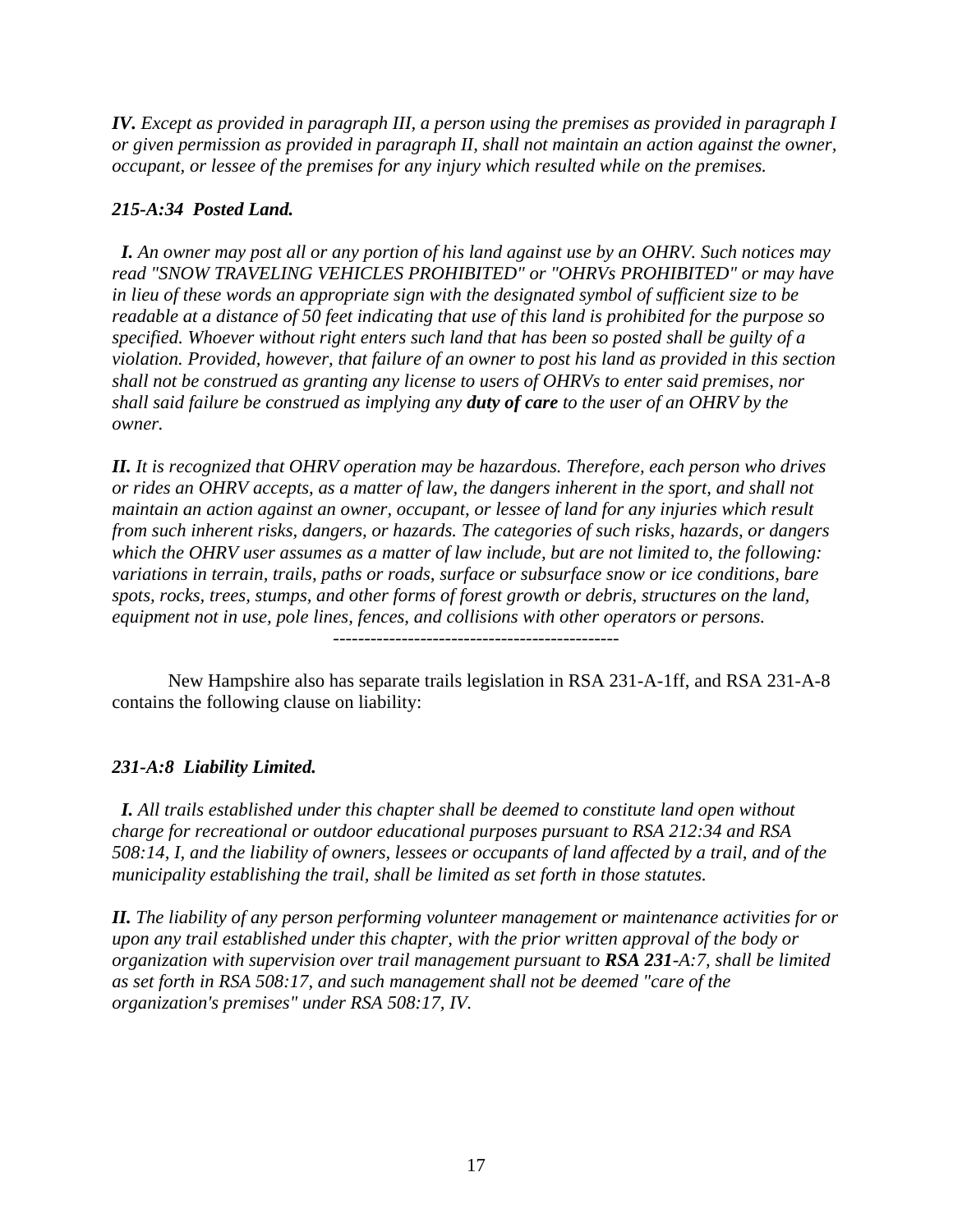*IV. Except as provided in paragraph III, a person using the premises as provided in paragraph I or given permission as provided in paragraph II, shall not maintain an action against the owner, occupant, or lessee of the premises for any injury which resulted while on the premises.* 

### *215-A:34 Posted Land.*

 *I. An owner may post all or any portion of his land against use by an OHRV. Such notices may read "SNOW TRAVELING VEHICLES PROHIBITED" or "OHRVs PROHIBITED" or may have in lieu of these words an appropriate sign with the designated symbol of sufficient size to be readable at a distance of 50 feet indicating that use of this land is prohibited for the purpose so specified. Whoever without right enters such land that has been so posted shall be guilty of a violation. Provided, however, that failure of an owner to post his land as provided in this section shall not be construed as granting any license to users of OHRVs to enter said premises, nor shall said failure be construed as implying any duty of care to the user of an OHRV by the owner.* 

*II. It is recognized that OHRV operation may be hazardous. Therefore, each person who drives or rides an OHRV accepts, as a matter of law, the dangers inherent in the sport, and shall not maintain an action against an owner, occupant, or lessee of land for any injuries which result from such inherent risks, dangers, or hazards. The categories of such risks, hazards, or dangers which the OHRV user assumes as a matter of law include, but are not limited to, the following: variations in terrain, trails, paths or roads, surface or subsurface snow or ice conditions, bare spots, rocks, trees, stumps, and other forms of forest growth or debris, structures on the land, equipment not in use, pole lines, fences, and collisions with other operators or persons.*  ----------------------------------------------

 New Hampshire also has separate trails legislation in RSA 231-A-1ff, and RSA 231-A-8 contains the following clause on liability:

### *231-A:8 Liability Limited.*

 *I. All trails established under this chapter shall be deemed to constitute land open without charge for recreational or outdoor educational purposes pursuant to RSA 212:34 and RSA 508:14, I, and the liability of owners, lessees or occupants of land affected by a trail, and of the municipality establishing the trail, shall be limited as set forth in those statutes.* 

*II. The liability of any person performing volunteer management or maintenance activities for or upon any trail established under this chapter, with the prior written approval of the body or organization with supervision over trail management pursuant to RSA 231-A:7, shall be limited as set forth in RSA 508:17, and such management shall not be deemed "care of the organization's premises" under RSA 508:17, IV.*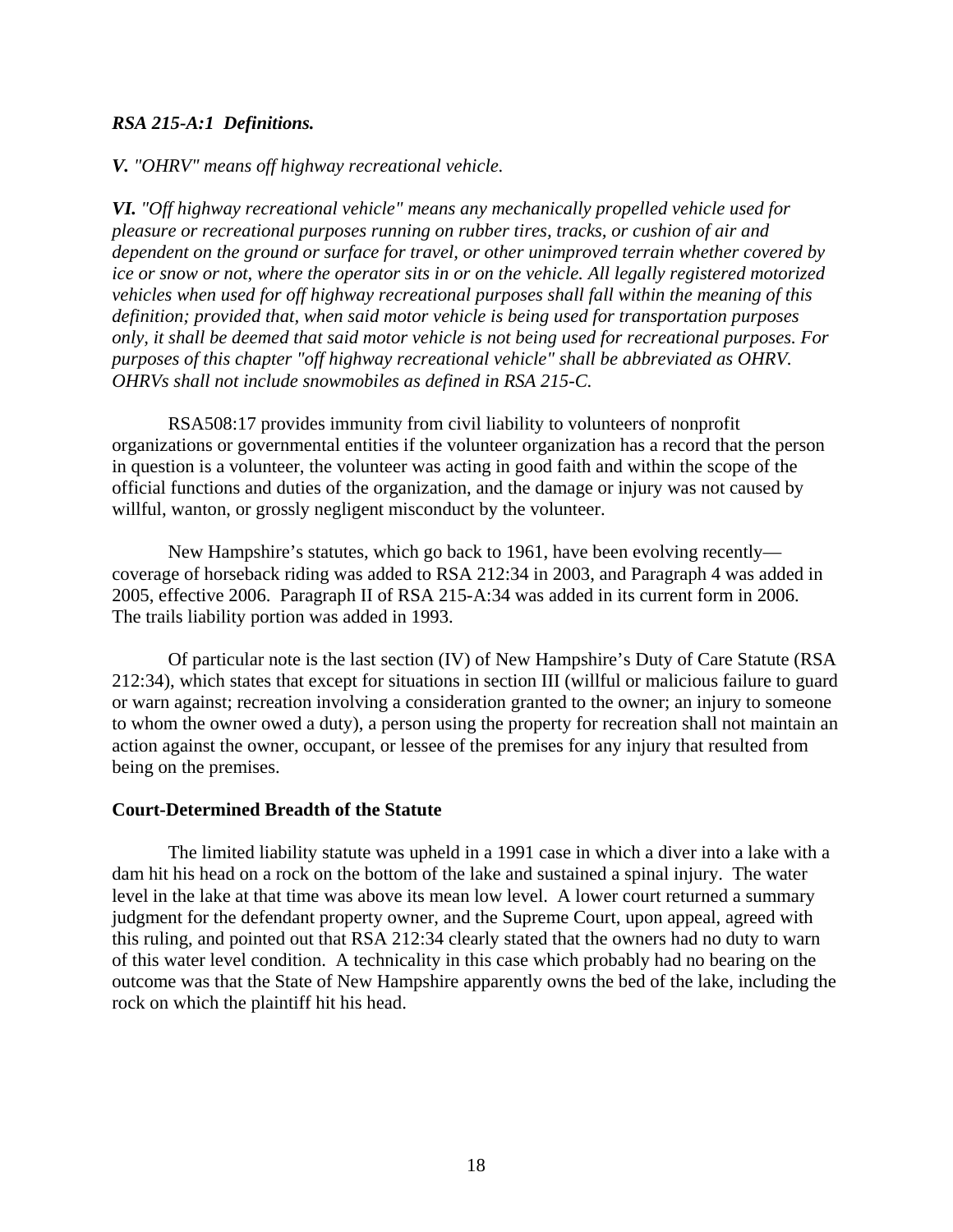### *RSA 215-A:1 Definitions.*

### *V. "OHRV" means off highway recreational vehicle.*

*VI. "Off highway recreational vehicle" means any mechanically propelled vehicle used for pleasure or recreational purposes running on rubber tires, tracks, or cushion of air and dependent on the ground or surface for travel, or other unimproved terrain whether covered by ice or snow or not, where the operator sits in or on the vehicle. All legally registered motorized vehicles when used for off highway recreational purposes shall fall within the meaning of this definition; provided that, when said motor vehicle is being used for transportation purposes only, it shall be deemed that said motor vehicle is not being used for recreational purposes. For purposes of this chapter "off highway recreational vehicle" shall be abbreviated as OHRV. OHRVs shall not include snowmobiles as defined in RSA 215-C.* 

 RSA508:17 provides immunity from civil liability to volunteers of nonprofit organizations or governmental entities if the volunteer organization has a record that the person in question is a volunteer, the volunteer was acting in good faith and within the scope of the official functions and duties of the organization, and the damage or injury was not caused by willful, wanton, or grossly negligent misconduct by the volunteer.

 New Hampshire's statutes, which go back to 1961, have been evolving recently coverage of horseback riding was added to RSA 212:34 in 2003, and Paragraph 4 was added in 2005, effective 2006. Paragraph II of RSA 215-A:34 was added in its current form in 2006. The trails liability portion was added in 1993.

 Of particular note is the last section (IV) of New Hampshire's Duty of Care Statute (RSA 212:34), which states that except for situations in section III (willful or malicious failure to guard or warn against; recreation involving a consideration granted to the owner; an injury to someone to whom the owner owed a duty), a person using the property for recreation shall not maintain an action against the owner, occupant, or lessee of the premises for any injury that resulted from being on the premises.

### **Court-Determined Breadth of the Statute**

 The limited liability statute was upheld in a 1991 case in which a diver into a lake with a dam hit his head on a rock on the bottom of the lake and sustained a spinal injury. The water level in the lake at that time was above its mean low level. A lower court returned a summary judgment for the defendant property owner, and the Supreme Court, upon appeal, agreed with this ruling, and pointed out that RSA 212:34 clearly stated that the owners had no duty to warn of this water level condition. A technicality in this case which probably had no bearing on the outcome was that the State of New Hampshire apparently owns the bed of the lake, including the rock on which the plaintiff hit his head.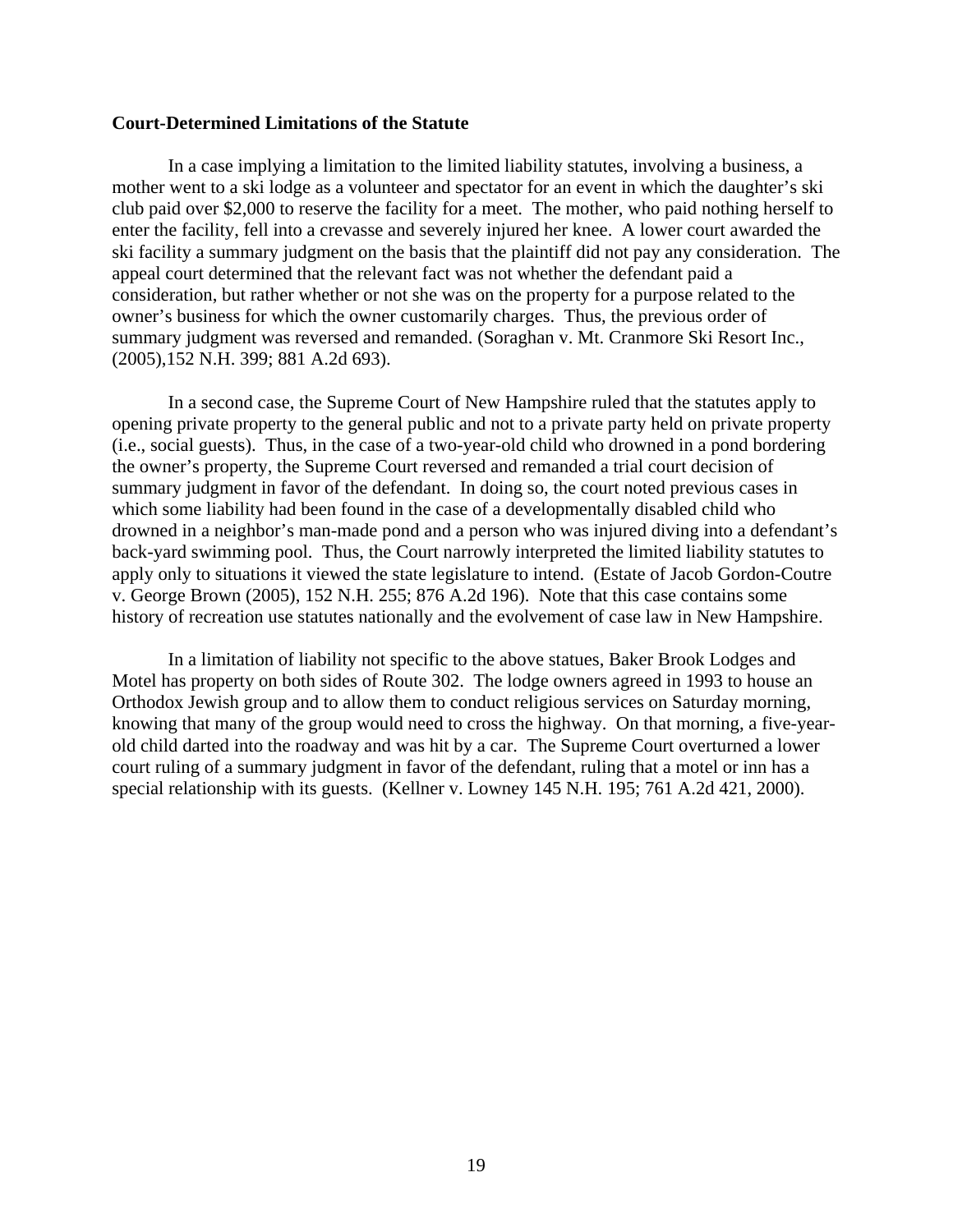#### **Court-Determined Limitations of the Statute**

 In a case implying a limitation to the limited liability statutes, involving a business, a mother went to a ski lodge as a volunteer and spectator for an event in which the daughter's ski club paid over \$2,000 to reserve the facility for a meet. The mother, who paid nothing herself to enter the facility, fell into a crevasse and severely injured her knee. A lower court awarded the ski facility a summary judgment on the basis that the plaintiff did not pay any consideration. The appeal court determined that the relevant fact was not whether the defendant paid a consideration, but rather whether or not she was on the property for a purpose related to the owner's business for which the owner customarily charges. Thus, the previous order of summary judgment was reversed and remanded. (Soraghan v. Mt. Cranmore Ski Resort Inc., (2005),152 N.H. 399; 881 A.2d 693).

 In a second case, the Supreme Court of New Hampshire ruled that the statutes apply to opening private property to the general public and not to a private party held on private property (i.e., social guests). Thus, in the case of a two-year-old child who drowned in a pond bordering the owner's property, the Supreme Court reversed and remanded a trial court decision of summary judgment in favor of the defendant. In doing so, the court noted previous cases in which some liability had been found in the case of a developmentally disabled child who drowned in a neighbor's man-made pond and a person who was injured diving into a defendant's back-yard swimming pool. Thus, the Court narrowly interpreted the limited liability statutes to apply only to situations it viewed the state legislature to intend. (Estate of Jacob Gordon-Coutre v. George Brown (2005), 152 N.H. 255; 876 A.2d 196). Note that this case contains some history of recreation use statutes nationally and the evolvement of case law in New Hampshire.

 In a limitation of liability not specific to the above statues, Baker Brook Lodges and Motel has property on both sides of Route 302. The lodge owners agreed in 1993 to house an Orthodox Jewish group and to allow them to conduct religious services on Saturday morning, knowing that many of the group would need to cross the highway. On that morning, a five-yearold child darted into the roadway and was hit by a car. The Supreme Court overturned a lower court ruling of a summary judgment in favor of the defendant, ruling that a motel or inn has a special relationship with its guests. (Kellner v. Lowney 145 N.H. 195; 761 A.2d 421, 2000).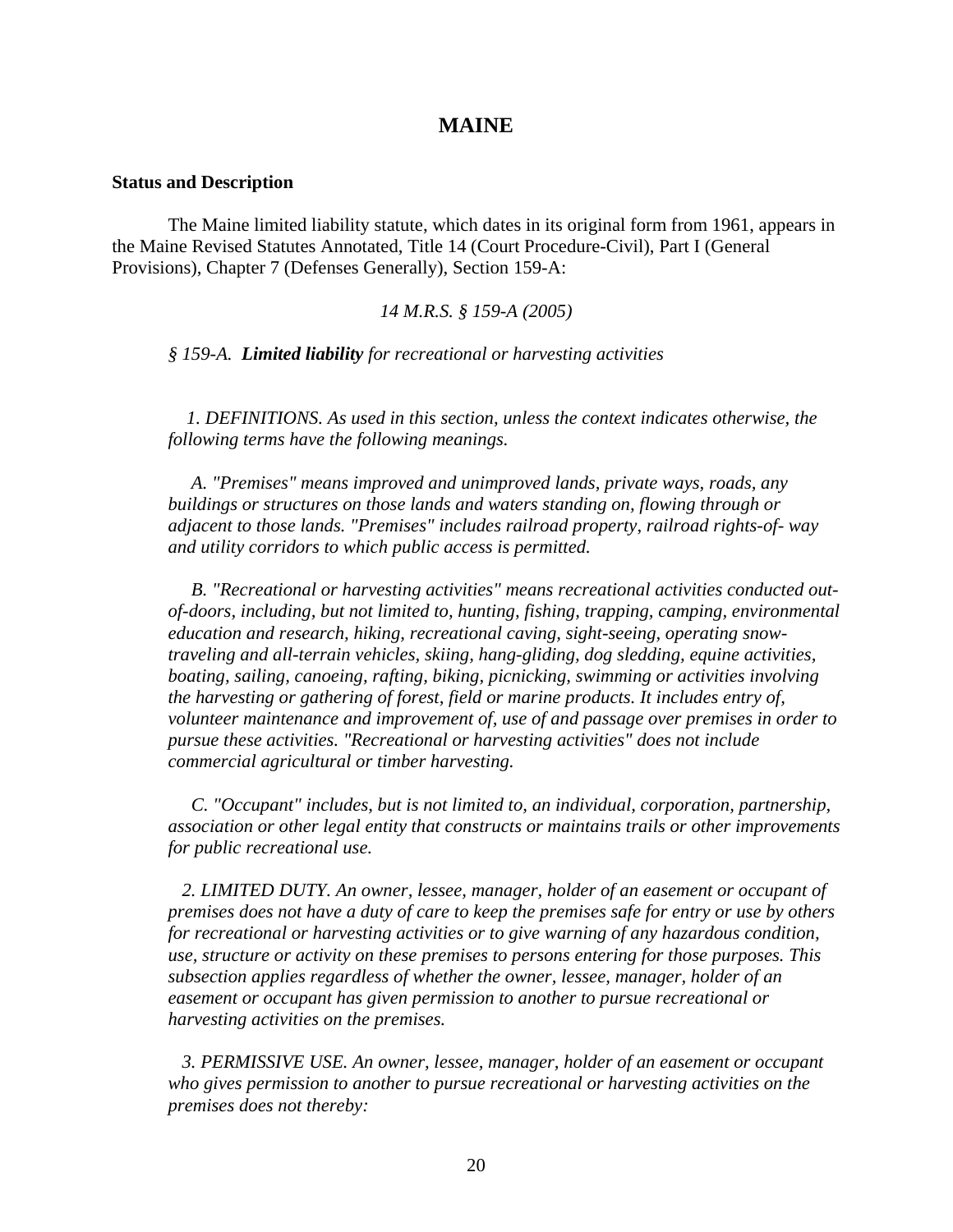### **MAINE**

#### **Status and Description**

 The Maine limited liability statute, which dates in its original form from 1961, appears in the Maine Revised Statutes Annotated, Title 14 (Court Procedure-Civil), Part I (General Provisions), Chapter 7 (Defenses Generally), Section 159-A:

*14 M.R.S. § 159-A (2005)* 

*§ 159-A. Limited liability for recreational or harvesting activities* 

 *1. DEFINITIONS. As used in this section, unless the context indicates otherwise, the following terms have the following meanings.* 

 *A. "Premises" means improved and unimproved lands, private ways, roads, any buildings or structures on those lands and waters standing on, flowing through or adjacent to those lands. "Premises" includes railroad property, railroad rights-of- way and utility corridors to which public access is permitted.* 

 *B. "Recreational or harvesting activities" means recreational activities conducted outof-doors, including, but not limited to, hunting, fishing, trapping, camping, environmental education and research, hiking, recreational caving, sight-seeing, operating snowtraveling and all-terrain vehicles, skiing, hang-gliding, dog sledding, equine activities, boating, sailing, canoeing, rafting, biking, picnicking, swimming or activities involving the harvesting or gathering of forest, field or marine products. It includes entry of, volunteer maintenance and improvement of, use of and passage over premises in order to pursue these activities. "Recreational or harvesting activities" does not include commercial agricultural or timber harvesting.* 

 *C. "Occupant" includes, but is not limited to, an individual, corporation, partnership, association or other legal entity that constructs or maintains trails or other improvements for public recreational use.* 

 *2. LIMITED DUTY. An owner, lessee, manager, holder of an easement or occupant of premises does not have a duty of care to keep the premises safe for entry or use by others for recreational or harvesting activities or to give warning of any hazardous condition, use, structure or activity on these premises to persons entering for those purposes. This subsection applies regardless of whether the owner, lessee, manager, holder of an easement or occupant has given permission to another to pursue recreational or harvesting activities on the premises.* 

 *3. PERMISSIVE USE. An owner, lessee, manager, holder of an easement or occupant who gives permission to another to pursue recreational or harvesting activities on the premises does not thereby:*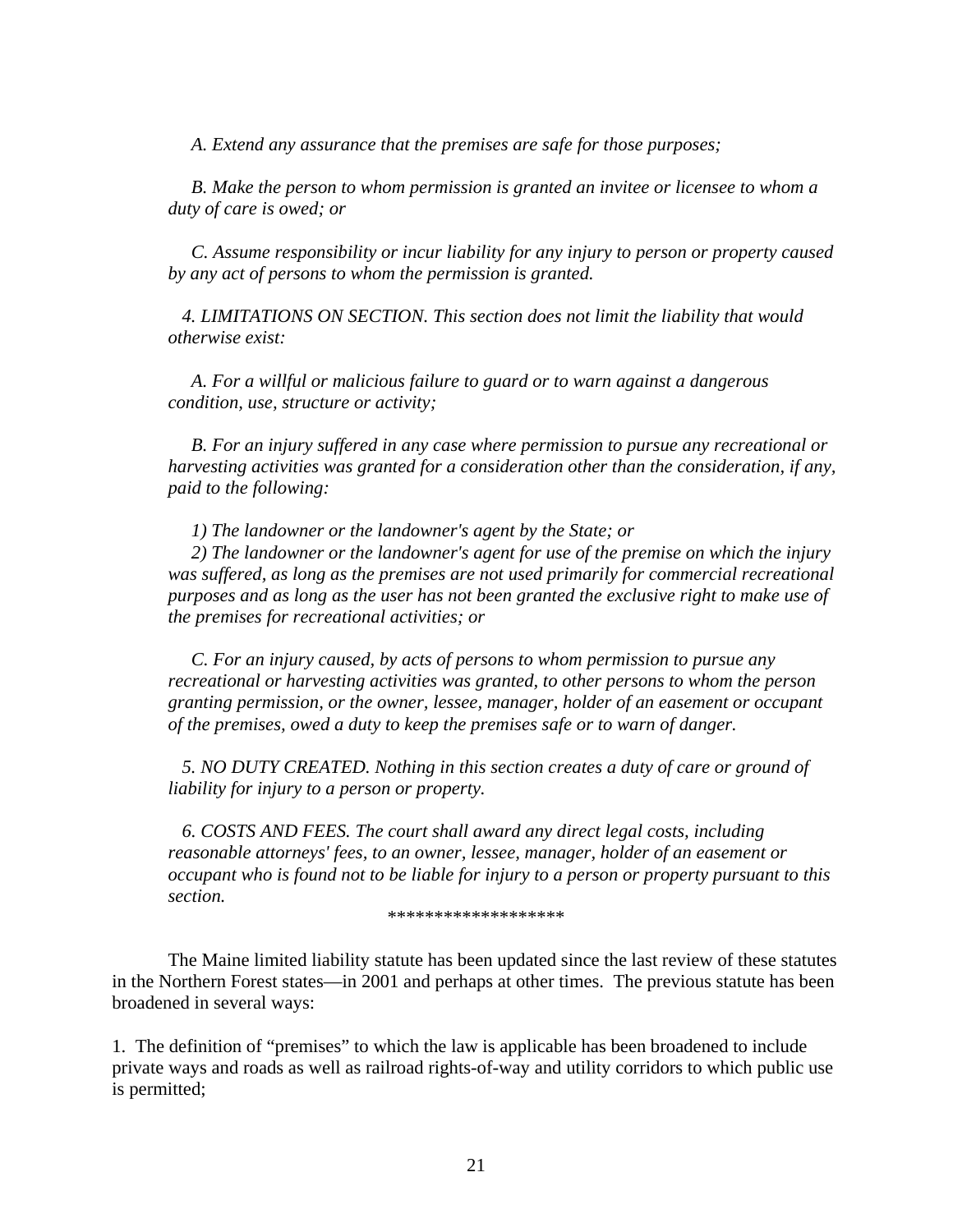*A. Extend any assurance that the premises are safe for those purposes;* 

 *B. Make the person to whom permission is granted an invitee or licensee to whom a duty of care is owed; or* 

 *C. Assume responsibility or incur liability for any injury to person or property caused by any act of persons to whom the permission is granted.* 

 *4. LIMITATIONS ON SECTION. This section does not limit the liability that would otherwise exist:* 

 *A. For a willful or malicious failure to guard or to warn against a dangerous condition, use, structure or activity;* 

 *B. For an injury suffered in any case where permission to pursue any recreational or harvesting activities was granted for a consideration other than the consideration, if any, paid to the following:* 

 *1) The landowner or the landowner's agent by the State; or* 

 *2) The landowner or the landowner's agent for use of the premise on which the injury*  was suffered, as long as the premises are not used primarily for commercial recreational *purposes and as long as the user has not been granted the exclusive right to make use of the premises for recreational activities; or* 

 *C. For an injury caused, by acts of persons to whom permission to pursue any recreational or harvesting activities was granted, to other persons to whom the person granting permission, or the owner, lessee, manager, holder of an easement or occupant of the premises, owed a duty to keep the premises safe or to warn of danger.* 

 *5. NO DUTY CREATED. Nothing in this section creates a duty of care or ground of liability for injury to a person or property.* 

 *6. COSTS AND FEES. The court shall award any direct legal costs, including reasonable attorneys' fees, to an owner, lessee, manager, holder of an easement or occupant who is found not to be liable for injury to a person or property pursuant to this section.* 

\*\*\*\*\*\*\*\*\*\*\*\*\*\*\*\*\*\*

 The Maine limited liability statute has been updated since the last review of these statutes in the Northern Forest states—in 2001 and perhaps at other times. The previous statute has been broadened in several ways:

1. The definition of "premises" to which the law is applicable has been broadened to include private ways and roads as well as railroad rights-of-way and utility corridors to which public use is permitted;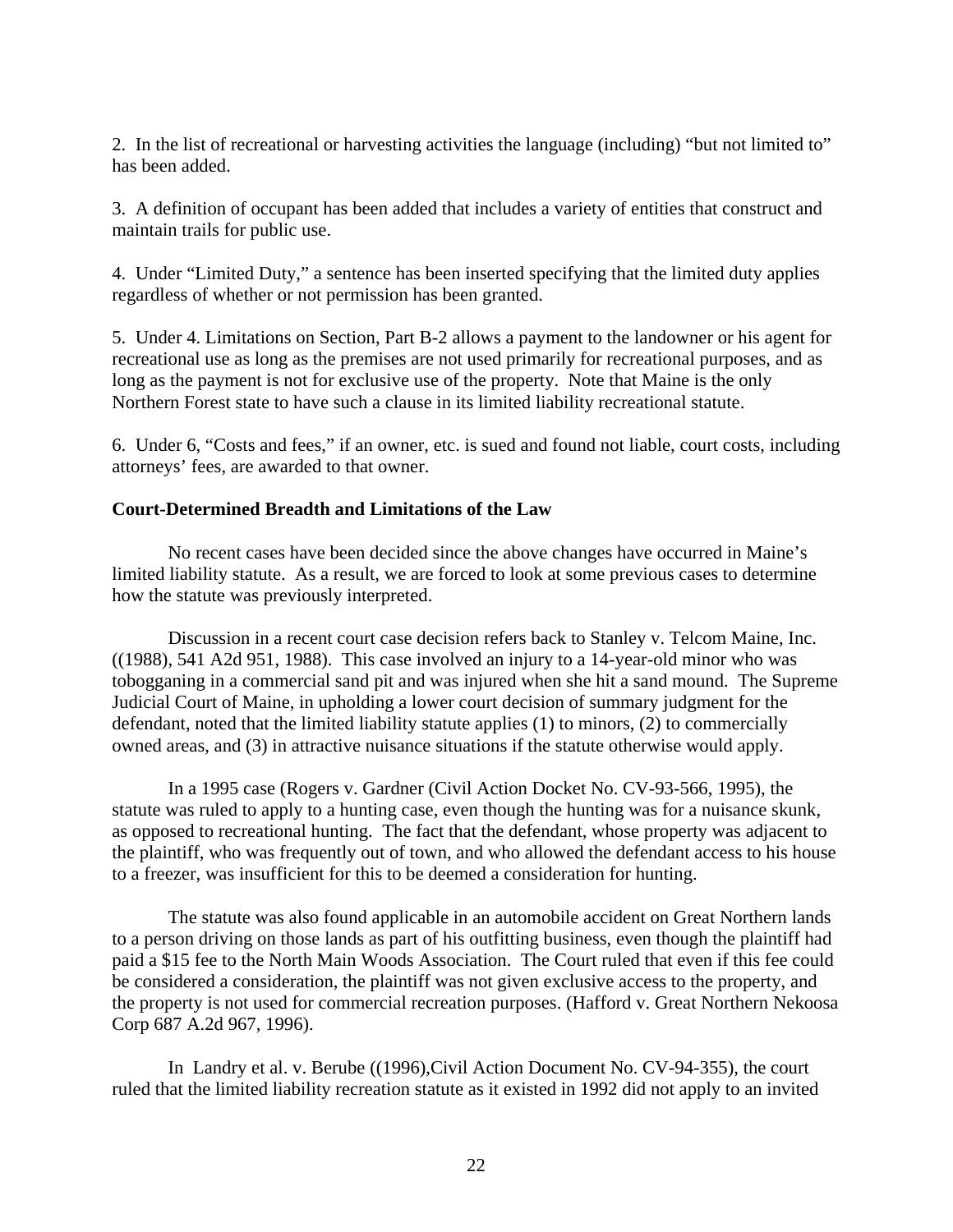2. In the list of recreational or harvesting activities the language (including) "but not limited to" has been added.

3. A definition of occupant has been added that includes a variety of entities that construct and maintain trails for public use.

4. Under "Limited Duty," a sentence has been inserted specifying that the limited duty applies regardless of whether or not permission has been granted.

5. Under 4. Limitations on Section, Part B-2 allows a payment to the landowner or his agent for recreational use as long as the premises are not used primarily for recreational purposes, and as long as the payment is not for exclusive use of the property. Note that Maine is the only Northern Forest state to have such a clause in its limited liability recreational statute.

6. Under 6, "Costs and fees," if an owner, etc. is sued and found not liable, court costs, including attorneys' fees, are awarded to that owner.

### **Court-Determined Breadth and Limitations of the Law**

 No recent cases have been decided since the above changes have occurred in Maine's limited liability statute. As a result, we are forced to look at some previous cases to determine how the statute was previously interpreted.

 Discussion in a recent court case decision refers back to Stanley v. Telcom Maine, Inc. ((1988), 541 A2d 951, 1988). This case involved an injury to a 14-year-old minor who was tobogganing in a commercial sand pit and was injured when she hit a sand mound. The Supreme Judicial Court of Maine, in upholding a lower court decision of summary judgment for the defendant, noted that the limited liability statute applies (1) to minors, (2) to commercially owned areas, and (3) in attractive nuisance situations if the statute otherwise would apply.

 In a 1995 case (Rogers v. Gardner (Civil Action Docket No. CV-93-566, 1995), the statute was ruled to apply to a hunting case, even though the hunting was for a nuisance skunk, as opposed to recreational hunting. The fact that the defendant, whose property was adjacent to the plaintiff, who was frequently out of town, and who allowed the defendant access to his house to a freezer, was insufficient for this to be deemed a consideration for hunting.

 The statute was also found applicable in an automobile accident on Great Northern lands to a person driving on those lands as part of his outfitting business, even though the plaintiff had paid a \$15 fee to the North Main Woods Association. The Court ruled that even if this fee could be considered a consideration, the plaintiff was not given exclusive access to the property, and the property is not used for commercial recreation purposes. (Hafford v. Great Northern Nekoosa Corp 687 A.2d 967, 1996).

 In Landry et al. v. Berube ((1996),Civil Action Document No. CV-94-355), the court ruled that the limited liability recreation statute as it existed in 1992 did not apply to an invited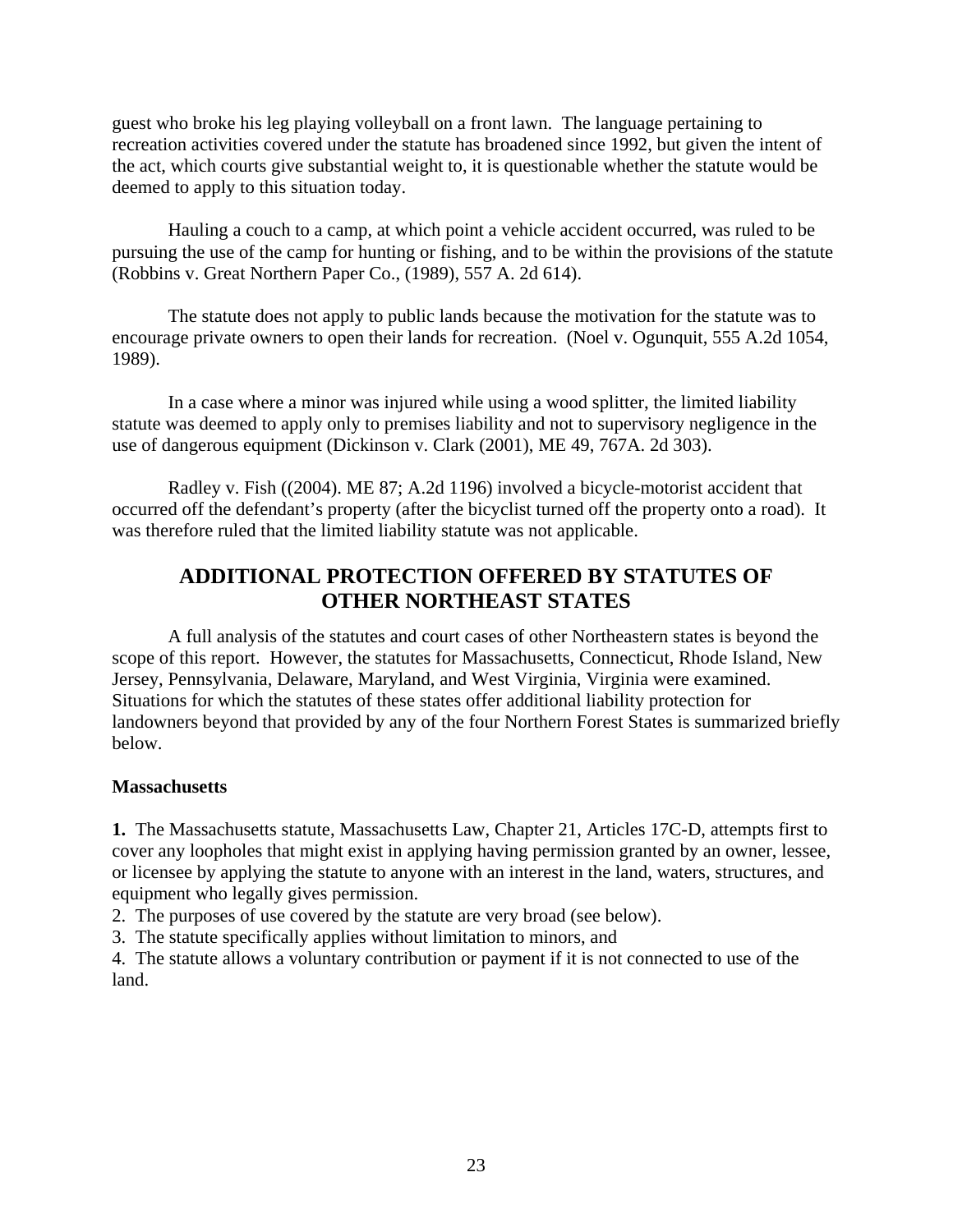guest who broke his leg playing volleyball on a front lawn. The language pertaining to recreation activities covered under the statute has broadened since 1992, but given the intent of the act, which courts give substantial weight to, it is questionable whether the statute would be deemed to apply to this situation today.

 Hauling a couch to a camp, at which point a vehicle accident occurred, was ruled to be pursuing the use of the camp for hunting or fishing, and to be within the provisions of the statute (Robbins v. Great Northern Paper Co., (1989), 557 A. 2d 614).

 The statute does not apply to public lands because the motivation for the statute was to encourage private owners to open their lands for recreation. (Noel v. Ogunquit, 555 A.2d 1054, 1989).

 In a case where a minor was injured while using a wood splitter, the limited liability statute was deemed to apply only to premises liability and not to supervisory negligence in the use of dangerous equipment (Dickinson v. Clark (2001), ME 49, 767A. 2d 303).

 Radley v. Fish ((2004). ME 87; A.2d 1196) involved a bicycle-motorist accident that occurred off the defendant's property (after the bicyclist turned off the property onto a road). It was therefore ruled that the limited liability statute was not applicable.

# **ADDITIONAL PROTECTION OFFERED BY STATUTES OF OTHER NORTHEAST STATES**

 A full analysis of the statutes and court cases of other Northeastern states is beyond the scope of this report. However, the statutes for Massachusetts, Connecticut, Rhode Island, New Jersey, Pennsylvania, Delaware, Maryland, and West Virginia, Virginia were examined. Situations for which the statutes of these states offer additional liability protection for landowners beyond that provided by any of the four Northern Forest States is summarized briefly below.

### **Massachusetts**

**1.** The Massachusetts statute, Massachusetts Law, Chapter 21, Articles 17C-D, attempts first to cover any loopholes that might exist in applying having permission granted by an owner, lessee, or licensee by applying the statute to anyone with an interest in the land, waters, structures, and equipment who legally gives permission.

2. The purposes of use covered by the statute are very broad (see below).

3. The statute specifically applies without limitation to minors, and

4. The statute allows a voluntary contribution or payment if it is not connected to use of the land.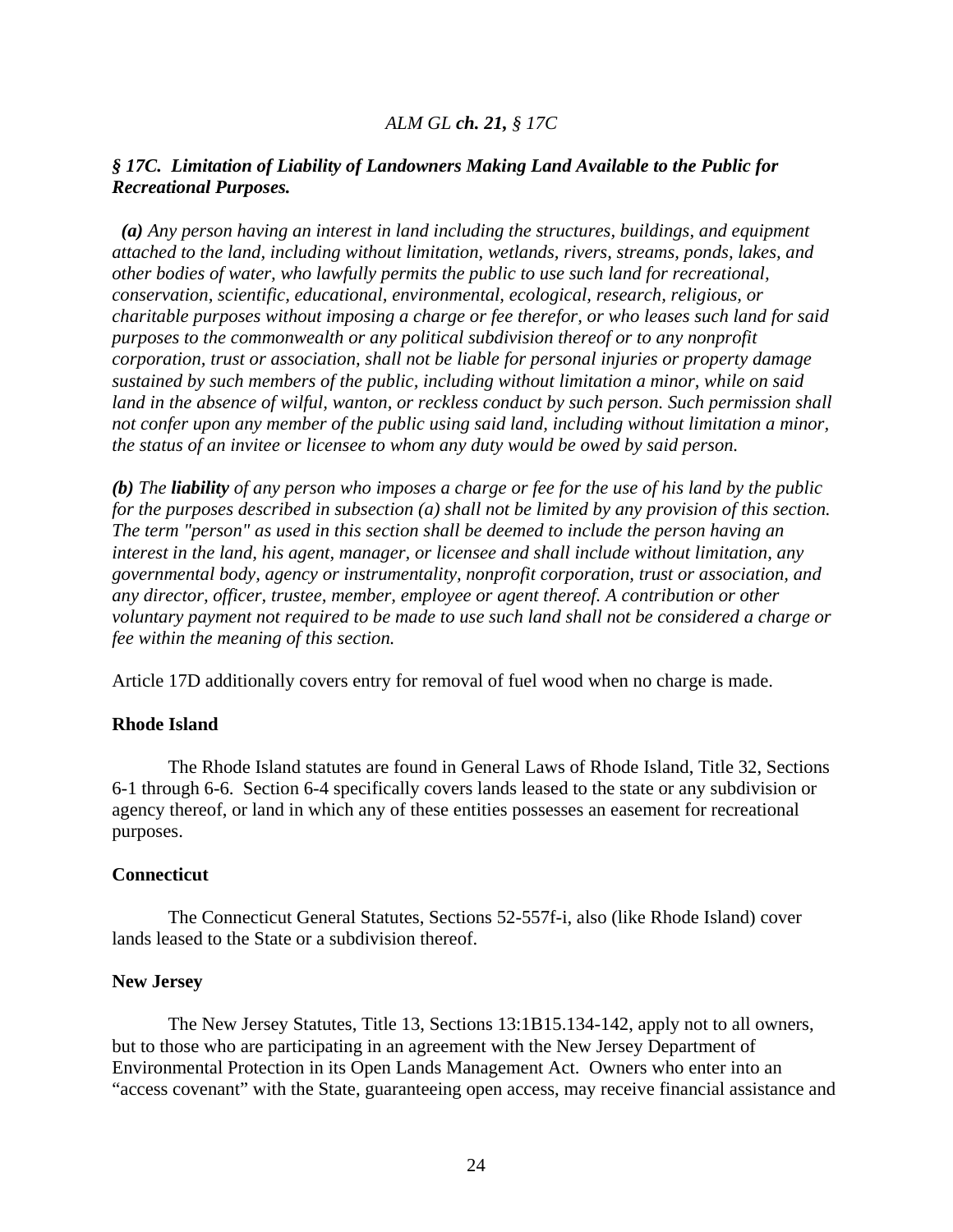### *ALM GL ch. 21, § 17C*

### *§ 17C. Limitation of Liability of Landowners Making Land Available to the Public for Recreational Purposes.*

 *(a) Any person having an interest in land including the structures, buildings, and equipment attached to the land, including without limitation, wetlands, rivers, streams, ponds, lakes, and other bodies of water, who lawfully permits the public to use such land for recreational, conservation, scientific, educational, environmental, ecological, research, religious, or charitable purposes without imposing a charge or fee therefor, or who leases such land for said purposes to the commonwealth or any political subdivision thereof or to any nonprofit corporation, trust or association, shall not be liable for personal injuries or property damage sustained by such members of the public, including without limitation a minor, while on said land in the absence of wilful, wanton, or reckless conduct by such person. Such permission shall not confer upon any member of the public using said land, including without limitation a minor, the status of an invitee or licensee to whom any duty would be owed by said person.* 

*(b) The liability of any person who imposes a charge or fee for the use of his land by the public for the purposes described in subsection (a) shall not be limited by any provision of this section. The term "person" as used in this section shall be deemed to include the person having an interest in the land, his agent, manager, or licensee and shall include without limitation, any governmental body, agency or instrumentality, nonprofit corporation, trust or association, and any director, officer, trustee, member, employee or agent thereof. A contribution or other voluntary payment not required to be made to use such land shall not be considered a charge or fee within the meaning of this section.*

Article 17D additionally covers entry for removal of fuel wood when no charge is made.

#### **Rhode Island**

 The Rhode Island statutes are found in General Laws of Rhode Island, Title 32, Sections 6-1 through 6-6. Section 6-4 specifically covers lands leased to the state or any subdivision or agency thereof, or land in which any of these entities possesses an easement for recreational purposes.

#### **Connecticut**

 The Connecticut General Statutes, Sections 52-557f-i, also (like Rhode Island) cover lands leased to the State or a subdivision thereof.

#### **New Jersey**

The New Jersey Statutes, Title 13, Sections 13:1B15.134-142, apply not to all owners, but to those who are participating in an agreement with the New Jersey Department of Environmental Protection in its Open Lands Management Act. Owners who enter into an "access covenant" with the State, guaranteeing open access, may receive financial assistance and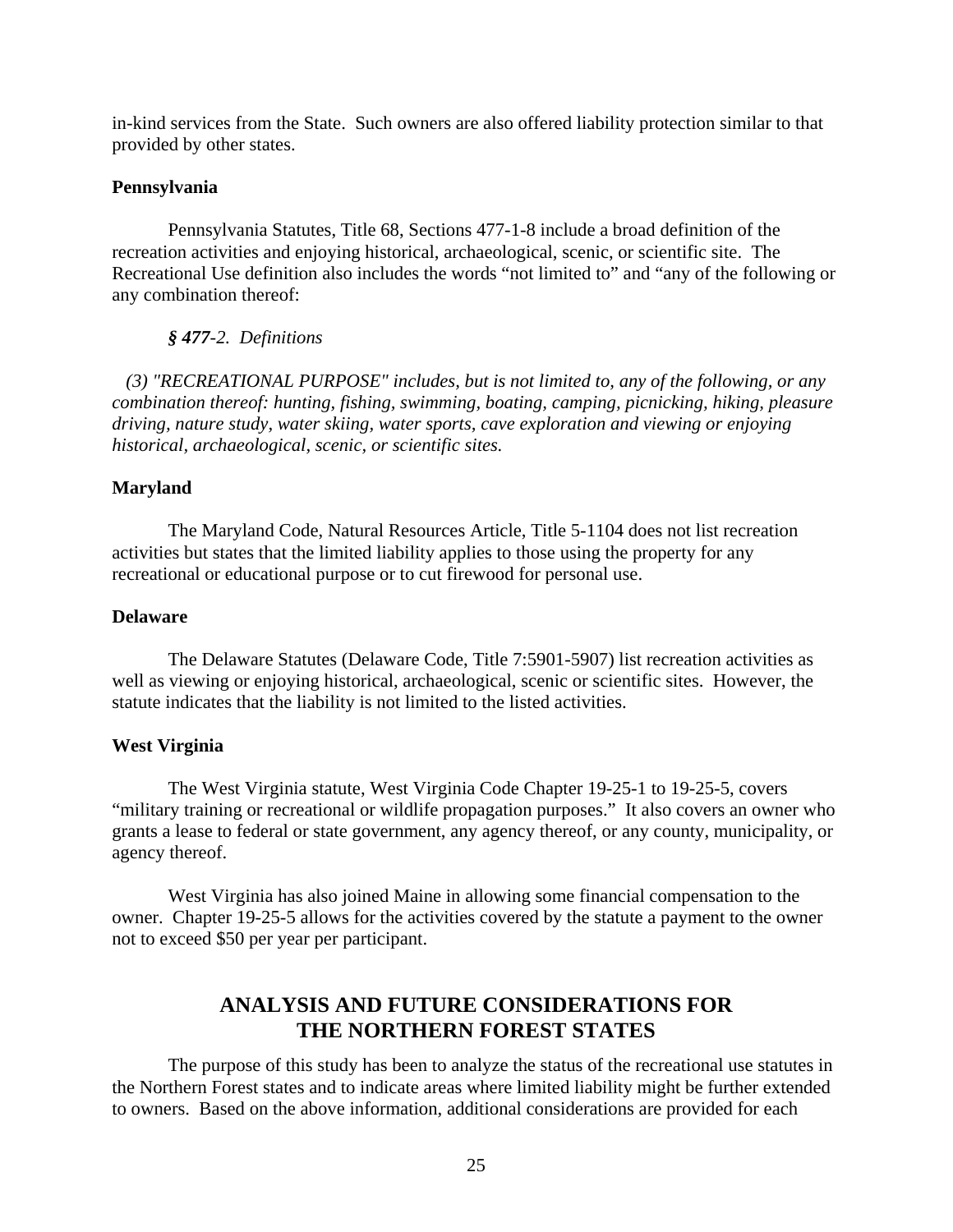in-kind services from the State. Such owners are also offered liability protection similar to that provided by other states.

### **Pennsylvania**

 Pennsylvania Statutes, Title 68, Sections 477-1-8 include a broad definition of the recreation activities and enjoying historical, archaeological, scenic, or scientific site. The Recreational Use definition also includes the words "not limited to" and "any of the following or any combination thereof:

### *§ 477-2. Definitions*

 *(3) "RECREATIONAL PURPOSE" includes, but is not limited to, any of the following, or any combination thereof: hunting, fishing, swimming, boating, camping, picnicking, hiking, pleasure driving, nature study, water skiing, water sports, cave exploration and viewing or enjoying historical, archaeological, scenic, or scientific sites.* 

### **Maryland**

 The Maryland Code, Natural Resources Article, Title 5-1104 does not list recreation activities but states that the limited liability applies to those using the property for any recreational or educational purpose or to cut firewood for personal use.

### **Delaware**

The Delaware Statutes (Delaware Code, Title 7:5901-5907) list recreation activities as well as viewing or enjoying historical, archaeological, scenic or scientific sites. However, the statute indicates that the liability is not limited to the listed activities.

### **West Virginia**

 The West Virginia statute, West Virginia Code Chapter 19-25-1 to 19-25-5, covers "military training or recreational or wildlife propagation purposes." It also covers an owner who grants a lease to federal or state government, any agency thereof, or any county, municipality, or agency thereof.

 West Virginia has also joined Maine in allowing some financial compensation to the owner. Chapter 19-25-5 allows for the activities covered by the statute a payment to the owner not to exceed \$50 per year per participant.

# **ANALYSIS AND FUTURE CONSIDERATIONS FOR THE NORTHERN FOREST STATES**

The purpose of this study has been to analyze the status of the recreational use statutes in the Northern Forest states and to indicate areas where limited liability might be further extended to owners. Based on the above information, additional considerations are provided for each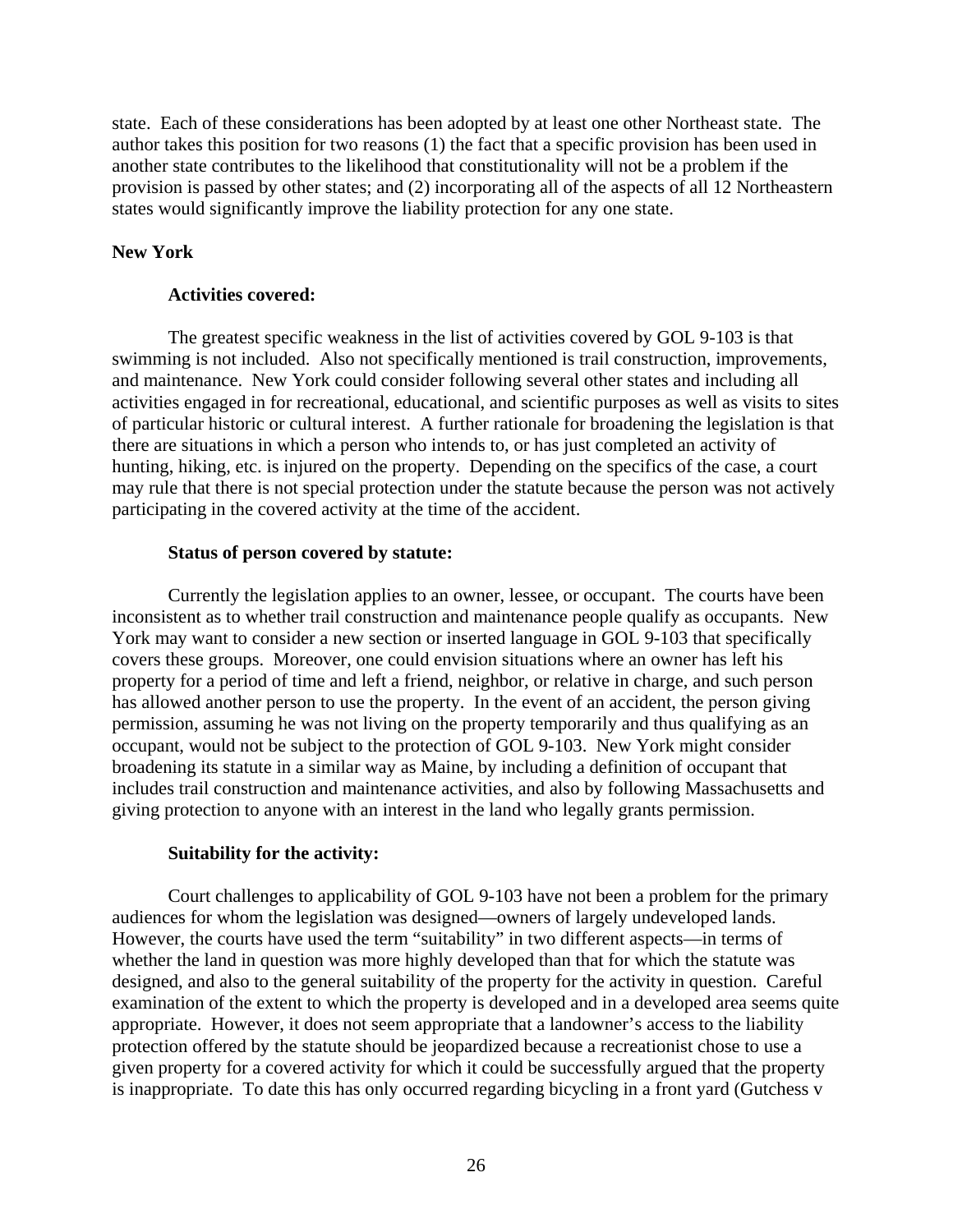state. Each of these considerations has been adopted by at least one other Northeast state. The author takes this position for two reasons (1) the fact that a specific provision has been used in another state contributes to the likelihood that constitutionality will not be a problem if the provision is passed by other states; and (2) incorporating all of the aspects of all 12 Northeastern states would significantly improve the liability protection for any one state.

### **New York**

### **Activities covered:**

 The greatest specific weakness in the list of activities covered by GOL 9-103 is that swimming is not included. Also not specifically mentioned is trail construction, improvements, and maintenance. New York could consider following several other states and including all activities engaged in for recreational, educational, and scientific purposes as well as visits to sites of particular historic or cultural interest. A further rationale for broadening the legislation is that there are situations in which a person who intends to, or has just completed an activity of hunting, hiking, etc. is injured on the property. Depending on the specifics of the case, a court may rule that there is not special protection under the statute because the person was not actively participating in the covered activity at the time of the accident.

### **Status of person covered by statute:**

Currently the legislation applies to an owner, lessee, or occupant. The courts have been inconsistent as to whether trail construction and maintenance people qualify as occupants. New York may want to consider a new section or inserted language in GOL 9-103 that specifically covers these groups. Moreover, one could envision situations where an owner has left his property for a period of time and left a friend, neighbor, or relative in charge, and such person has allowed another person to use the property. In the event of an accident, the person giving permission, assuming he was not living on the property temporarily and thus qualifying as an occupant, would not be subject to the protection of GOL 9-103. New York might consider broadening its statute in a similar way as Maine, by including a definition of occupant that includes trail construction and maintenance activities, and also by following Massachusetts and giving protection to anyone with an interest in the land who legally grants permission.

### **Suitability for the activity:**

 Court challenges to applicability of GOL 9-103 have not been a problem for the primary audiences for whom the legislation was designed—owners of largely undeveloped lands. However, the courts have used the term "suitability" in two different aspects—in terms of whether the land in question was more highly developed than that for which the statute was designed, and also to the general suitability of the property for the activity in question. Careful examination of the extent to which the property is developed and in a developed area seems quite appropriate. However, it does not seem appropriate that a landowner's access to the liability protection offered by the statute should be jeopardized because a recreationist chose to use a given property for a covered activity for which it could be successfully argued that the property is inappropriate. To date this has only occurred regarding bicycling in a front yard (Gutchess v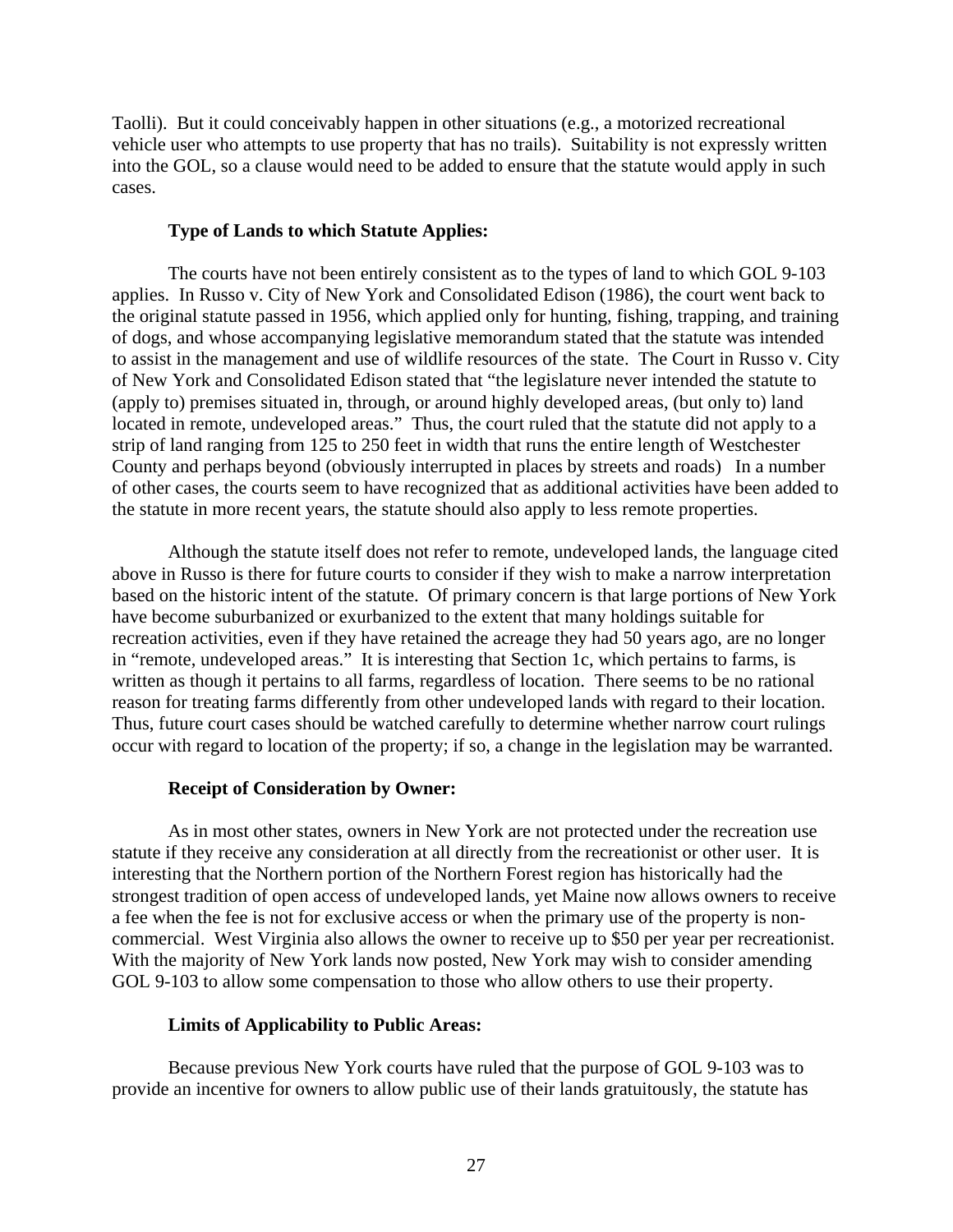Taolli). But it could conceivably happen in other situations (e.g., a motorized recreational vehicle user who attempts to use property that has no trails). Suitability is not expressly written into the GOL, so a clause would need to be added to ensure that the statute would apply in such cases.

### **Type of Lands to which Statute Applies:**

The courts have not been entirely consistent as to the types of land to which GOL 9-103 applies. In Russo v. City of New York and Consolidated Edison (1986), the court went back to the original statute passed in 1956, which applied only for hunting, fishing, trapping, and training of dogs, and whose accompanying legislative memorandum stated that the statute was intended to assist in the management and use of wildlife resources of the state. The Court in Russo v. City of New York and Consolidated Edison stated that "the legislature never intended the statute to (apply to) premises situated in, through, or around highly developed areas, (but only to) land located in remote, undeveloped areas." Thus, the court ruled that the statute did not apply to a strip of land ranging from 125 to 250 feet in width that runs the entire length of Westchester County and perhaps beyond (obviously interrupted in places by streets and roads) In a number of other cases, the courts seem to have recognized that as additional activities have been added to the statute in more recent years, the statute should also apply to less remote properties.

 Although the statute itself does not refer to remote, undeveloped lands, the language cited above in Russo is there for future courts to consider if they wish to make a narrow interpretation based on the historic intent of the statute. Of primary concern is that large portions of New York have become suburbanized or exurbanized to the extent that many holdings suitable for recreation activities, even if they have retained the acreage they had 50 years ago, are no longer in "remote, undeveloped areas." It is interesting that Section 1c, which pertains to farms, is written as though it pertains to all farms, regardless of location. There seems to be no rational reason for treating farms differently from other undeveloped lands with regard to their location. Thus, future court cases should be watched carefully to determine whether narrow court rulings occur with regard to location of the property; if so, a change in the legislation may be warranted.

### **Receipt of Consideration by Owner:**

 As in most other states, owners in New York are not protected under the recreation use statute if they receive any consideration at all directly from the recreationist or other user. It is interesting that the Northern portion of the Northern Forest region has historically had the strongest tradition of open access of undeveloped lands, yet Maine now allows owners to receive a fee when the fee is not for exclusive access or when the primary use of the property is noncommercial. West Virginia also allows the owner to receive up to \$50 per year per recreationist. With the majority of New York lands now posted, New York may wish to consider amending GOL 9-103 to allow some compensation to those who allow others to use their property.

### **Limits of Applicability to Public Areas:**

Because previous New York courts have ruled that the purpose of GOL 9-103 was to provide an incentive for owners to allow public use of their lands gratuitously, the statute has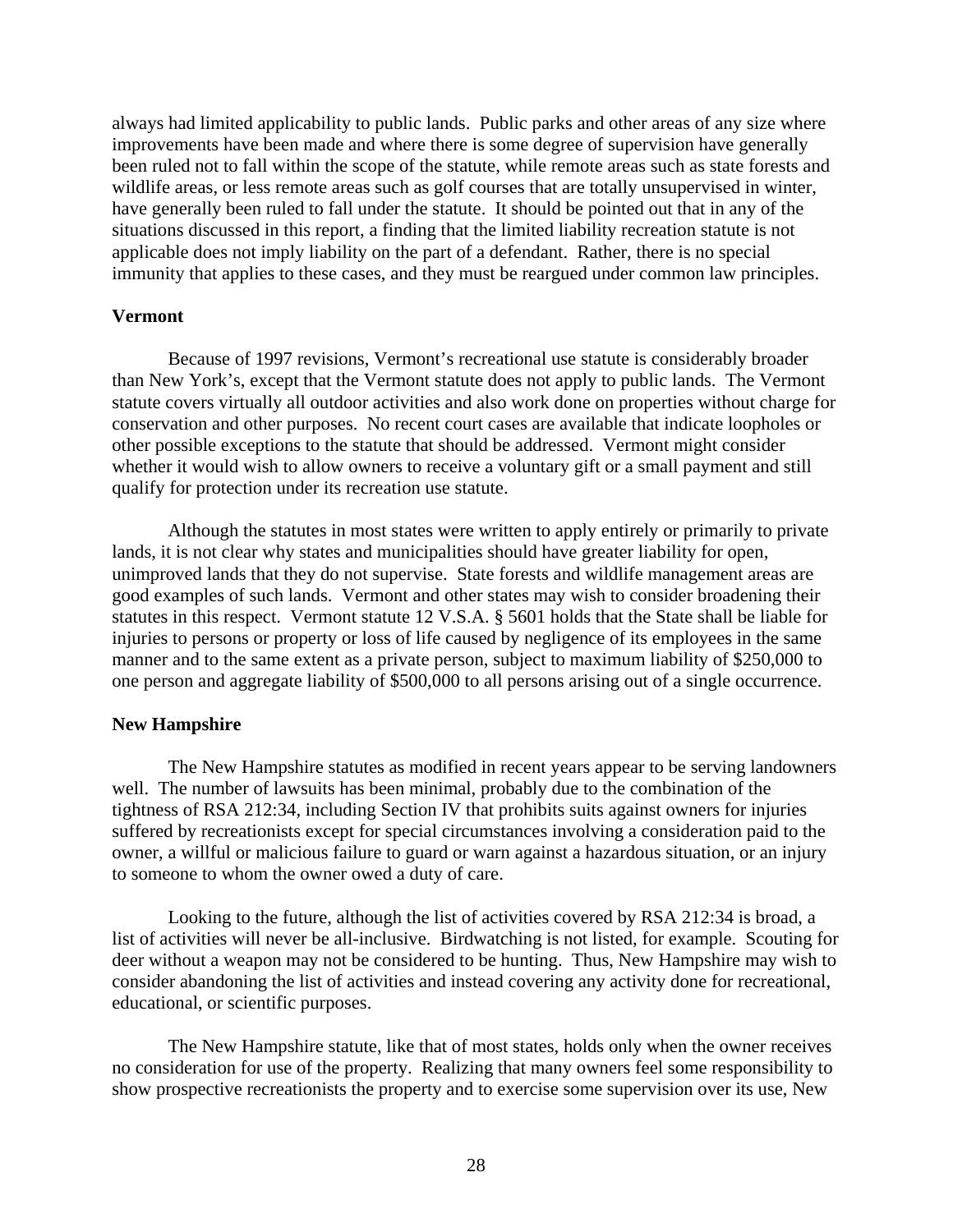always had limited applicability to public lands. Public parks and other areas of any size where improvements have been made and where there is some degree of supervision have generally been ruled not to fall within the scope of the statute, while remote areas such as state forests and wildlife areas, or less remote areas such as golf courses that are totally unsupervised in winter, have generally been ruled to fall under the statute. It should be pointed out that in any of the situations discussed in this report, a finding that the limited liability recreation statute is not applicable does not imply liability on the part of a defendant. Rather, there is no special immunity that applies to these cases, and they must be reargued under common law principles.

#### **Vermont**

Because of 1997 revisions, Vermont's recreational use statute is considerably broader than New York's, except that the Vermont statute does not apply to public lands. The Vermont statute covers virtually all outdoor activities and also work done on properties without charge for conservation and other purposes. No recent court cases are available that indicate loopholes or other possible exceptions to the statute that should be addressed. Vermont might consider whether it would wish to allow owners to receive a voluntary gift or a small payment and still qualify for protection under its recreation use statute.

 Although the statutes in most states were written to apply entirely or primarily to private lands, it is not clear why states and municipalities should have greater liability for open, unimproved lands that they do not supervise. State forests and wildlife management areas are good examples of such lands. Vermont and other states may wish to consider broadening their statutes in this respect. Vermont statute 12 V.S.A. § 5601 holds that the State shall be liable for injuries to persons or property or loss of life caused by negligence of its employees in the same manner and to the same extent as a private person, subject to maximum liability of \$250,000 to one person and aggregate liability of \$500,000 to all persons arising out of a single occurrence.

### **New Hampshire**

 The New Hampshire statutes as modified in recent years appear to be serving landowners well. The number of lawsuits has been minimal, probably due to the combination of the tightness of RSA 212:34, including Section IV that prohibits suits against owners for injuries suffered by recreationists except for special circumstances involving a consideration paid to the owner, a willful or malicious failure to guard or warn against a hazardous situation, or an injury to someone to whom the owner owed a duty of care.

 Looking to the future, although the list of activities covered by RSA 212:34 is broad, a list of activities will never be all-inclusive. Birdwatching is not listed, for example. Scouting for deer without a weapon may not be considered to be hunting. Thus, New Hampshire may wish to consider abandoning the list of activities and instead covering any activity done for recreational, educational, or scientific purposes.

 The New Hampshire statute, like that of most states, holds only when the owner receives no consideration for use of the property. Realizing that many owners feel some responsibility to show prospective recreationists the property and to exercise some supervision over its use, New